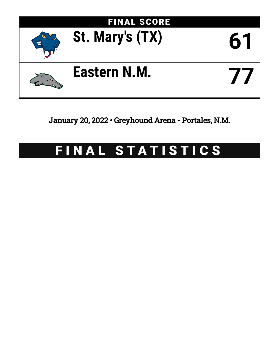

January 20, 2022 • Greyhound Arena - Portales, N.M.

# FINAL STATISTICS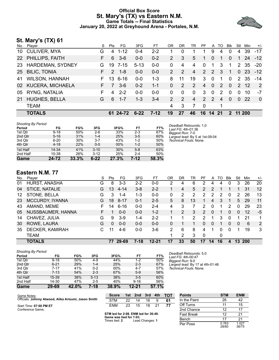#### **Official Box Score St. Mary's (TX) vs Eastern N.M. Game Totals -- Final Statistics January 20, 2022 at Greyhound Arena - Portales, N.M.**



## **St. Mary's (TX) 61**

| No. | Player                | S  | Pts           | FG.      | 3FG      | FT.     | OR             | DR.           | TR             | <b>PF</b> |               | A TO           | <b>B</b> lk | Stl            | Min  | $+/-$    |
|-----|-----------------------|----|---------------|----------|----------|---------|----------------|---------------|----------------|-----------|---------------|----------------|-------------|----------------|------|----------|
|     | 10 CULIVER, MYA       | G  | 4             | $1 - 12$ | $0 - 4$  | $2 - 2$ |                | 0             |                | 1         | 9             | 4              | $\Omega$    | 4              | 39   | $-17$    |
|     | 22 PHILLIPS, FAITH    | F. | 6             | $3-6$    | $0 - 0$  | $0 - 2$ | $\overline{2}$ | 3             | 5              | 1         | $\Omega$      | 1              | $\Omega$    | $\overline{1}$ | 24   | $-12$    |
| 23  | HARDEMAN, SYDNEY      | G  | 19            | 7-15     | $5 - 13$ | $0 - 0$ | $\Omega$       | 4             | 4              | 0         | 1             | 3              | 1.          | 2              | -35  | $-20$    |
| 25  | <b>BILIC, TONIA</b>   | F. | $\mathcal{P}$ | $1 - 8$  | $0 - 0$  | $0 - 0$ | $\mathcal{P}$  | 2             | $\overline{4}$ | 2         | 2             | 3              | $\mathbf 1$ | $\Omega$       | -23  | $-12$    |
| 41  | <b>WILSON, HANNAH</b> | F. | 13            | $6 - 16$ | $0 - 0$  | $1 - 3$ | 8              | 11            | 19             | 3         | $\Omega$      | 1              | $\Omega$    |                | 2 35 | $-14$    |
|     | 02 KUCERA, MICHAELA   | F. | 7             | $3-6$    | $0 - 2$  | $1 - 1$ | $\Omega$       | 2             | 2              | 4         | $\Omega$      | $\mathcal{P}$  | $\Omega$    | $\mathcal{P}$  | -12  | 2        |
| 05  | RYNG, NATALIA         | F. | 4             | $2 - 2$  | $0-0$    | $0 - 0$ | $\Omega$       | $\Omega$      | $\Omega$       | 3         | $\Omega$      | 2              | $\Omega$    | $\Omega$       | 10   | -7       |
| 21  | <b>HUGHES, BELLA</b>  | G  | 6             | $1 - 7$  | 1-3      | $3 - 4$ | $\mathcal{P}$  | $\mathcal{P}$ | 4              | 2         | $\mathcal{P}$ | $\overline{4}$ | $\Omega$    | $\Omega$       | -22  | $\Omega$ |
|     | <b>TEAM</b>           |    |               |          |          |         | 4              | 3             | 7              | - 0       |               | 1              |             |                |      |          |
|     | <b>TOTALS</b>         |    |               | 61 24-72 | $6 - 22$ | $7-12$  | 19             | 27            | 46             | 16        | 14 21         |                |             | 2 11 200       |      |          |

| <b>Shooting By Period</b> |          |       |          |       |         |       |
|---------------------------|----------|-------|----------|-------|---------|-------|
| Period                    | FG       | FG%   | 3FG      | 3FG%  | FT      | FT%   |
| 1st Qtr                   | $9 - 18$ | 50%   | $2-6$    | 33%   | $2 - 3$ | 67%   |
| 2nd Qtr                   | $5 - 16$ | 31%   | $1 - 4$  | 25%   | $3 - 5$ | 60%   |
| 3rd Qtr                   | $6 - 20$ | 30%   | $3 - 7$  | 43%   | $1 - 2$ | 50%   |
| 4th Qtr                   | $4 - 18$ | 22%   | $0 - 5$  | 00%   | $1 - 2$ | 50%   |
| 1st Half                  | 14-34    | 41%   | $3 - 10$ | 30%   | $5-8$   | 63%   |
| 2nd Half                  | 10-38    | 26%   | $3 - 12$ | 25%   | $2 - 4$ | 50%   |
| Game                      | 24-72    | 33.3% | $6 - 22$ | 27.3% | 7-12    | 58.3% |

*Deadball Rebounds:* 1,0 *Last FG:* 4th-01:36 *Biggest Run:* 7-0 *Largest lead:* By 5 at 1st-09:04 *Technical Fouls:* None.

#### **Eastern N.M. 77**

| No. | Player                 | S  | Pts | FG.      | 3FG     | FT      | 0R | DR | TR | PF             | A        | TO | Blk      | Stl      | Min        | $+/-$ |
|-----|------------------------|----|-----|----------|---------|---------|----|----|----|----------------|----------|----|----------|----------|------------|-------|
| 01  | HURST, ANASHA          | G  | 8   | $3 - 3$  | $2 - 2$ | $0 - 0$ | 2  | 4  | 6  | 2              | 4        | 4  | 0        | 3        | 26         | 20    |
| 04  | STICE, NATALIE         | G  | 13  | $4 - 14$ | $3 - 8$ | $2 - 2$ |    | 4  | 5  | 2              | 2        |    |          |          | 31         | 12    |
| 12  | STONE, BELLA           | G  | 3   | $1 - 4$  | $1 - 3$ | $0 - 0$ | 0  | 2  | 2  | 2              | 2        | 2  | 0        | 2        | 26         | 13    |
| 23  | <b>MCCURDY, IYANNA</b> | G  | 18  | $8 - 17$ | $0 - 1$ | $2 - 5$ | 5. | 8  | 13 |                | 4        | 3  |          | 5        | 29         | 11    |
| 43  | AMAND, MEME            | F. | 14  | $6 - 16$ | $0 - 0$ | $2 - 4$ | 4  | 3  |    | 2              | 0        | 1  | 2        | 0        | 29         | 23    |
| 05  | NUSSBAUMER, HANNA      | F. |     | $0 - 0$  | $0 - 0$ | $1 - 2$ |    | 2  | 3  | $\overline{2}$ | $\Omega$ |    | $\Omega$ | 0        | 12         | $-5$  |
| 14  | CHAVEZ, JULIA          | G  | 9   | $3-9$    | $1 - 4$ | $2 - 2$ |    |    | 2  | 2              |          | 3  | 0        |          | 21         | 1     |
| 30  | ROWE, LAURA            | G  | 0   | $0 - 0$  | $0 - 0$ | $0 - 0$ | 0  |    |    | 0              | 0        | 1  | 0        | $\Omega$ | 6          | 2     |
| 35  | DECKER, KAMIRAH        | С  | 11  | $4-6$    | $0-0$   | $3-6$   | 2  | 6  | 8  | 4              | 1        | 0  | $\Omega$ |          | 19         | 3     |
|     | TEAM                   |    |     |          |         |         | 1  | 2  | 3  | $\Omega$       |          | 0  |          |          |            |       |
|     | <b>TOTALS</b>          |    | 77  | 29-69    | 7-18    | 12-21   | 17 | 33 | 50 | 17             | 14       | 16 | 4        | 13       | <b>200</b> |       |

| <b>Shooting By Period</b> |          |       |          |       |           |       |
|---------------------------|----------|-------|----------|-------|-----------|-------|
| Period                    | FG       | FG%   | 3FG      | 3FG%  | FT        | FT%   |
| 1st Qtr                   | $9 - 18$ | 50%   | $4 - 9$  | 44%   | $1 - 2$   | 50%   |
| 2nd Qtr                   | $6 - 21$ | 29%   | $1 - 4$  | 25%   | $2 - 3$   | 67%   |
| 3rd Qtr                   | $7 - 17$ | 41%   | $0 - 2$  | 00%   | $4 - 7$   | 57%   |
| 4th Qtr                   | $7 - 13$ | 54%   | $2 - 3$  | 67%   | $5-9$     | 56%   |
| 1st Half                  | 15-39    | 38%   | $5 - 13$ | 38%   | $3-5$     | 60%   |
| 2nd Half                  | 14-30    | 47%   | $2 - 5$  | 40%   | $9 - 16$  | 56%   |
| Game                      | 29-69    | 42.0% | 7-18     | 38.9% | $12 - 21$ | 57.1% |

*Deadball Rebounds:* 5,0 *Last FG:* 4th-00:47 *Biggest Run:* 9-0 *Largest lead:* By 17 at 4th-01:46 *Technical Fouls:* None.

| Game Notes:                                          | <b>Score</b> | 1st | 2nd | 3rd | 4th | <b>TOT</b> | <b>Points</b> | <b>STM</b> |
|------------------------------------------------------|--------------|-----|-----|-----|-----|------------|---------------|------------|
| Officials: Johnny Atwood, Alika Arisumi, Jason Smith | <b>STM</b>   | 22  | 14  | 16  |     | 61         | In the Paint  | 26         |
| Start Time: 07:00 PM ET                              | <b>ENM</b>   | 23  | 15  | 18  | -21 |            | Off Turns     |            |
| Conference Game;                                     |              |     |     |     |     |            | 2nd Chance    |            |

## **STM led for 2:08. ENM led for 36:49. Game was tied for 1:03.** Times tied: **2** Lead Changes: **1**

| <b>Points</b>     | <b>STM</b>     | <b>ENM</b>     |
|-------------------|----------------|----------------|
| In the Paint      | 26             | 42             |
| Off Turns         | 11             | 15             |
| 2nd Chance        | 12             | 17             |
| <b>Fast Break</b> | 12             | 21             |
| Bench             | 17             | 21             |
| Per Poss          | 0.763<br>28/80 | 1.027<br>36/75 |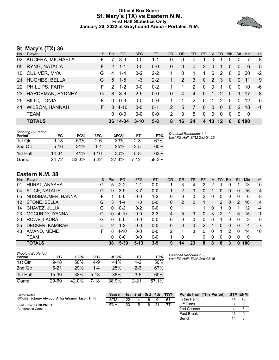#### **Official Box Score St. Mary's (TX) vs Eastern N.M. First Half Statistics Only January 20, 2022 at Greyhound Arena - Portales, N.M.**



## **St. Mary's (TX) 36**

| No. | Player                  | S. | <b>Pts</b>    | FG.      | 3FG      | <b>FT</b> | <b>OR</b>     | <b>DR</b>    | <b>TR</b>      | <b>PF</b> | A              | TO       | <b>Blk</b>   | Stl            | Min   | $+/-$ |
|-----|-------------------------|----|---------------|----------|----------|-----------|---------------|--------------|----------------|-----------|----------------|----------|--------------|----------------|-------|-------|
| 02  | <b>KUCERA, MICHAELA</b> | F. |               | $3 - 3$  | $0 - 0$  | 1-1       | 0             | 0            | 0              |           | 0              |          | 0            | 0              | 7     | 8     |
| 05  | RYNG, NATALIA           | F. | $\mathcal{P}$ | $1 - 1$  | $0-0$    | $0-0$     | 0             | $\mathbf{0}$ | $\mathbf{0}$   | 2         | $\overline{0}$ |          | 0            | $\overline{0}$ | 6     | -5    |
| 10  | <b>CULIVER, MYA</b>     | G  | 4             | $1 - 4$  | $0 - 2$  | $2 - 2$   |               | $\Omega$     | 1              | 1         | 6              | 2        | $\mathbf 0$  | 3              | 20    | $-2$  |
| 21  | <b>HUGHES, BELLA</b>    | G  | 5             | $-1-5$   | $1 - 3$  | $2 - 2$   |               | 2            | 3              | 0         | 2              | 3        | $\mathbf{0}$ | $\Omega$       | 11    | 9     |
|     | 22 PHILLIPS, FAITH      | F. | $\mathcal{P}$ | $1 - 2$  | $0-0$    | $0 - 2$   |               | 1            | $\overline{2}$ | $\Omega$  | $\mathbf{0}$   | 1        | $\Omega$     | $\Omega$       | 10    | -6    |
| 23  | <b>HARDEMAN, SYDNEY</b> | G  | 8             | $3-6$    | $2 - 5$  | $0 - 0$   | 0             | 4            | 4              | 0         | 1              | 2        | $\Omega$     |                | 17    | -8    |
| 25  | <b>BILIC, TONIA</b>     | F. | $\Omega$      | $0 - 3$  | $0 - 0$  | $0 - 0$   |               |              | $\mathcal{P}$  | $\Omega$  | 1              | 2        | $\Omega$     | $\Omega$       | 12    | -5    |
| 41  | <b>WILSON, HANNAH</b>   | F. | 8             | $4 - 10$ | $0 - 0$  | $0 - 1$   | $\mathcal{P}$ | 5            | 7              | 0         | $\Omega$       | $\Omega$ | $\Omega$     | $\mathcal{P}$  | 18    | $-1$  |
|     | <b>TEAM</b>             |    | $\Omega$      | $0 - 0$  | $0-0$    | $0 - 0$   | 2             | -3           | 5              | $\Omega$  | 0              | $\Omega$ | $\Omega$     | 0              | - 0   |       |
|     | <b>TOTALS</b>           |    |               | 36 14-34 | $3 - 10$ | $5 - 8$   | 8             | 16           | 24             | 4         | 10             | 12       | $\bf{0}$     |                | 6 100 |       |

| <b>Shooting By Period</b><br>Period | FG       | FG%   | 3FG      | 3FG%  | FT      | FT%   | Deadball Rebounds: 1,0<br>Last FG Half: STM 2nd-01:25 |
|-------------------------------------|----------|-------|----------|-------|---------|-------|-------------------------------------------------------|
| 1st Qtr                             | $9 - 18$ | 50%   | $2-6$    | 33%   | $2 - 3$ | 67%   |                                                       |
| 2nd Qtr                             | $5 - 16$ | 31%   | $1 - 4$  | 25%   | $3-5$   | 60%   |                                                       |
| 1st Half                            | 14-34    | 41%   | $3 - 10$ | 30%   | $5-8$   | 63%   |                                                       |
| Game                                | 24-72    | 33.3% | $6-22$   | 27.3% | 7-12    | 58.3% |                                                       |

## **Eastern N.M. 38**

| No.             | Plaver                 | S | <b>Pts</b> | <b>FG</b> | 3FG      | <b>FT</b> | <b>OR</b> | DR | TR | PF             | A        | TO | <b>Blk</b> | Stl      | Min         | $+/-$          |
|-----------------|------------------------|---|------------|-----------|----------|-----------|-----------|----|----|----------------|----------|----|------------|----------|-------------|----------------|
| 01              | HURST, ANASHA          | G | 5          | $2 - 2$   | 1-1      | $0 - 0$   |           | 3  | 4  | 2              | າ        |    |            |          | 13          | 10             |
| 04              | STICE, NATALIE         | G | 9          | $3-9$     | $3 - 7$  | $0 - 0$   |           | 2  | 3  | 0              |          | 0  | $\Omega$   | 0        | 16          | $\overline{4}$ |
| 05              | NUSSBAUMER, HANNA      | F |            | $0 - 0$   | $0 - 0$  | $1 - 2$   | 0         | 0  | 0  | $\overline{2}$ | 0        | 0  |            | 0        | 6           | -8             |
| 12 <sup>1</sup> | STONE, BELLA           | G | 3.         | $1 - 4$   | $1 - 3$  | $0 - 0$   | 0         | 2  | 2  |                |          | 2  | 0          | 2        | 16          | $\overline{4}$ |
| 14              | CHAVEZ, JULIA          | G | 0          | $0 - 2$   | $0 - 2$  | $0-0$     | 0         |    |    |                | 0        |    | 0          |          | 12          | $-4$           |
| 23              | <b>MCCURDY, IYANNA</b> | G | 10         | $4 - 10$  | $0 - 0$  | $2 - 3$   | 4         | 5  | 9  | 0              | 3        | 2  |            | 5        | 15          | 1              |
| 30              | ROWE, LAURA            | G | 0          | $0 - 0$   | $0 - 0$  | $0 - 0$   | 0         | 0  | 0  | 0              | 0        | 1  | 0          | 0        | 3           | $\mathbf{0}$   |
| 35              | DECKER, KAMIRAH        | С | 2          | $1 - 2$   | $0 - 0$  | $0 - 0$   | 0         | 0  | 0  | 2              |          | 0  | 0          | $\Omega$ | 4           | $-7$           |
| 43              | AMAND, MEME            | F | 8          | $4 - 10$  | $0 - 0$  | $0 - 0$   | 2         |    | 3  | 0              | 0        |    |            | 0        | 14          | 10             |
|                 | <b>TEAM</b>            |   | 0          | $0 - 0$   | $0 - 0$  | $0 - 0$   |           | 0  |    | 0              | $\Omega$ | 0  | 0          | 0        | $\mathbf 0$ |                |
|                 | <b>TOTALS</b>          |   |            | 38 15-39  | $5 - 13$ | $3 - 5$   | 9         | 14 | 23 | 8              | 8        | 8  | 3          | 9        | 100         |                |

| <b>Shooting By Period</b><br>Period | FG       | FG%      | 3FG     | 3FG%  | FТ      | FT%   |
|-------------------------------------|----------|----------|---------|-------|---------|-------|
| 1st Otr                             | $9 - 18$ | 50%      | 4-9     | 44%   | $1 - 2$ | 50%   |
| 2nd Otr                             | $6 - 21$ | 29%      | $1 - 4$ | 25%   | $2 - 3$ | 67%   |
| 1st Half                            | $15-39$  | 38%      | $5-13$  | 38%   | $3 - 5$ | 60%   |
| Game                                | 29-69    | $42.0\%$ | 7-18    | 38.9% | 12-21   | 57.1% |

*Deadball Rebounds:* 5,0 *Last FG Half:* ENM 2nd-02:16

| Game Notes:                                          | <b>Score</b> | 1st | 2nd | 3rd | 4th  | <b>TOT</b> | <b>Points from (This Period)</b> |    | <b>STM ENM</b> |
|------------------------------------------------------|--------------|-----|-----|-----|------|------------|----------------------------------|----|----------------|
| Officials: Johnny Atwood, Alika Arisumi, Jason Smith | STM          | つつ  | 14  | 16  |      | 61         | In the Paint                     | 14 | 18             |
| Start Time: 07:00 PM ET                              | ENM          | 23  | 15  | 18  | - 21 | 77         | Off Turns                        |    |                |
| Conference Game;                                     |              |     |     |     |      |            | 2nd Chance                       |    |                |
|                                                      |              |     |     |     |      |            | Fast Break                       |    |                |
|                                                      |              |     |     |     |      |            | Bench                            | 14 |                |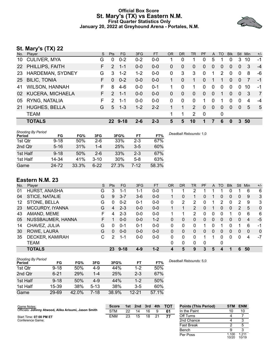#### **Official Box Score St. Mary's (TX) vs Eastern N.M. First Quarter Statistics Only January 20, 2022 at Greyhound Arena - Portales, N.M.**



## **St. Mary's (TX) 22**

| No.             | Player                | S. | <b>Pts</b>    | FG.     | 3FG     | <b>FT</b> | <b>OR</b> | D <sub>R</sub> | TR             | <b>PF</b> | A            | TO             | <b>Blk</b> | Stl            | Min | $+/-$          |
|-----------------|-----------------------|----|---------------|---------|---------|-----------|-----------|----------------|----------------|-----------|--------------|----------------|------------|----------------|-----|----------------|
| 10              | <b>CULIVER, MYA</b>   | G  | $\Omega$      | $0 - 2$ | $0 - 2$ | $0 - 0$   |           | 0              | 1.             | 0         | 5            |                | 0          | 3              | 10  | $-1$           |
|                 | 22 PHILLIPS, FAITH    | F. | 2             | $1 - 1$ | $0-0$   | $0-0$     | 0         | $\Omega$       | $\Omega$       | 0         | $\Omega$     | 0              | $\Omega$   | $\Omega$       | 3   | $-4$           |
| 23              | HARDEMAN, SYDNEY      | G  | 3             | $1 - 2$ | $1 - 2$ | 0-0       | 0         | 3              | 3              | $\Omega$  |              | 2              | $\Omega$   | $\Omega$       | 8   | -6             |
| 25 <sub>2</sub> | <b>BILIC, TONIA</b>   | F. | $\Omega$      | $0 - 2$ | $0 - 0$ | $0 - 0$   | 1         | $\Omega$       | 1              | $\Omega$  |              | 1              | $\Omega$   | $\overline{0}$ | 7   | $-1$           |
| 41              | <b>WILSON, HANNAH</b> | F. | 8             | $4-6$   | $0-0$   | $0 - 1$   |           | 0              | 1.             | 0         | $\mathbf 0$  | 0              | $\Omega$   | 0              | 10  | -1             |
|                 | 02 KUCERA, MICHAELA   | F. | $\mathcal{P}$ | $1 - 1$ | $0 - 0$ | $0 - 0$   | 0         | $\Omega$       | $\mathbf{0}$   | $\Omega$  | $\Omega$     | 1              | $\Omega$   | $\Omega$       | 3   | $\overline{7}$ |
| 05              | RYNG, NATALIA         | F. | $\mathcal{P}$ | $1 - 1$ | $0 - 0$ | $0-0$     | 0         | $\Omega$       | $\mathbf 0$    | 1         | $\Omega$     | 1              | $\Omega$   | $\Omega$       | 4   | -4             |
| 21              | <b>HUGHES, BELLA</b>  | G  | $5^{\circ}$   | $1 - 3$ | $1 - 2$ | $2 - 2$   |           |                | 2              | $\Omega$  | $\mathbf{0}$ | $\overline{0}$ | $\Omega$   | $\Omega$       | 5   | 5              |
|                 | <b>TEAM</b>           |    |               |         |         |           | 1         | 1              | $\overline{2}$ | 0         |              | 0              |            |                |     |                |
|                 | <b>TOTALS</b>         |    |               | 22 9-18 | $2 - 6$ | $2 - 3$   | 5         | 5              | 10             |           |              | 6              | 0          | 3              | 50  |                |
|                 |                       |    |               |         |         |           |           |                |                |           |              |                |            |                |     |                |

| <b>Shooting By Period</b><br>Period | FG       | FG%   | 3FG      | 3FG%  | FT      | FT%   | Deadball Rebounds: 1,0 |
|-------------------------------------|----------|-------|----------|-------|---------|-------|------------------------|
| 1st Qtr                             | $9 - 18$ | 50%   | $2-6$    | 33%   | $2 - 3$ | 67%   |                        |
| 2nd Qtr                             | $5 - 16$ | 31%   | $1 - 4$  | 25%   | $3-5$   | 60%   |                        |
| 1st Half                            | $9 - 18$ | 50%   | $2 - 6$  | 33%   | $2 - 3$ | 67%   |                        |
| 1st Half                            | 14-34    | 41%   | $3 - 10$ | 30%   | $5-8$   | 63%   |                        |
| Game                                | 24-72    | 33.3% | $6 - 22$ | 27.3% | 7-12    | 58.3% |                        |

## **Eastern N.M. 23**

| No. | Plaver            | S | <b>Pts</b> | FG       | 3FG     | <b>FT</b> | OR | <b>DR</b>    | TR             | PF          | A        | TO       | <b>Blk</b> | <b>Stl</b> | Min | $+/-$        |
|-----|-------------------|---|------------|----------|---------|-----------|----|--------------|----------------|-------------|----------|----------|------------|------------|-----|--------------|
| 01  | HURST, ANASHA     | G | 3          | 1-1      | $1 - 1$ | $0-0$     |    |              | 2              |             |          |          |            |            | 6   | 6            |
| 04  | STICE, NATALIE    | G | 9          | $3 - 7$  | $3-6$   | $0 - 0$   |    | 0            | 1              | 0           |          | 0        | 0          | 0          | 9   | 3            |
| 12  | STONE, BELLA      | G | 0          | $0 - 2$  | $0 - 1$ | $0-0$     | 0  | 2            | 2              | 0           |          | 2        | 0          | 2          | 9   | 3            |
| 23  | MCCURDY, IYANNA   | G | 4          | $2 - 3$  | $0 - 0$ | $0-0$     |    |              | $\overline{2}$ | 0           |          | $\Omega$ | 0          | 2          | 5   | $\Omega$     |
| 43  | AMAND, MEME       | F | 4          | $2 - 3$  | $0 - 0$ | $0-0$     |    |              | 2              | 0           | 0        | 0        |            | 0          | 6   | 6            |
| 05  | NUSSBAUMER, HANNA | F |            | $0 - 0$  | $0 - 0$ | $1 - 2$   | 0  | 0            | 0              | 0           | 0        | 0        | 0          | 0          | 4   | $-5$         |
| 14  | CHAVEZ, JULIA     | G | 0          | $0 - 1$  | $0 - 1$ | $0-0$     | 0  | 0            | 0              |             | 0        |          |            |            | 6   | -1           |
| 30  | ROWE, LAURA       | G | $\Omega$   | $0 - 0$  | $0 - 0$ | $0 - 0$   | 0  | 0            | 0              | 0           | $\Omega$ | 0        | 0          | 0          | 0   | $\mathbf{0}$ |
| 35  | DECKER, KAMIRAH   | С | 2          | 1-1      | $0 - 0$ | $0 - 0$   | 0  | 0            | $\Omega$       |             |          | 0        | 0          | 0          | 4   | $-7$         |
|     | <b>TEAM</b>       |   |            |          |         |           | 0  | $\mathbf{0}$ | 0              | $\mathbf 0$ |          | 0        |            |            |     |              |
|     | <b>TOTALS</b>     |   | 23         | $9 - 18$ | $4 - 9$ | $1 - 2$   |    | 5            | 9              | 3           | 5        | Δ        |            | 6          | 50  |              |

| <b>Shooting By Period</b><br>Period | FG.      | FG%   | 3FG      | 3FG%  | FT        | FT%   | Deadball Rebounds: 5,0 |
|-------------------------------------|----------|-------|----------|-------|-----------|-------|------------------------|
| 1st Qtr                             | $9 - 18$ | 50%   | $4-9$    | 44%   | 1-2       | 50%   |                        |
| 2nd Qtr                             | $6 - 21$ | 29%   | $1 - 4$  | 25%   | $2 - 3$   | 67%   |                        |
| 1st Half                            | $9 - 18$ | 50%   | $4-9$    | 44%   | 1-2       | 50%   |                        |
| 1st Half                            | 15-39    | 38%   | $5 - 13$ | 38%   | 3-5       | 60%   |                        |
| Game                                | 29-69    | 42.0% | 7-18     | 38.9% | $12 - 21$ | 57.1% |                        |

| Game Notes:                                          | <b>Score</b> | 1st | 2nd | 3rd | 4th | <b>TOT</b> | <b>Points (This Period)</b> | <b>STM</b>               | <b>ENM</b>               |
|------------------------------------------------------|--------------|-----|-----|-----|-----|------------|-----------------------------|--------------------------|--------------------------|
| Officials: Johnny Atwood, Alika Arisumi, Jason Smith | <b>STM</b>   | 22  | 14  | 16  |     | 61         | In the Paint                |                          | 10                       |
| Start Time: 07:00 PM ET                              | <b>ENM</b>   | 23  | 15  | 18  | 21  | 77         | Off Turns                   |                          |                          |
| Conference Game:                                     |              |     |     |     |     |            | 2nd Chance                  |                          |                          |
|                                                      |              |     |     |     |     |            | <b>Fast Break</b>           |                          |                          |
|                                                      |              |     |     |     |     |            | Bench                       |                          |                          |
|                                                      |              |     |     |     |     |            |                             | $\overline{\phantom{a}}$ | $\overline{\phantom{a}}$ |

|            |                | . .            |
|------------|----------------|----------------|
| Off Turns  |                |                |
| 2nd Chance |                | 3              |
| Fast Break | 2              | 5              |
| Bench      |                | 3              |
| Per Poss   | 1.100<br>10/20 | 1.211<br>10/19 |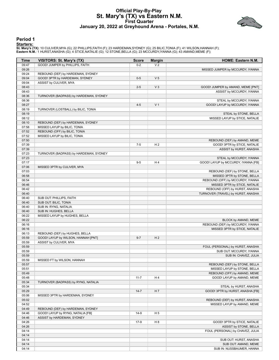#### **Official Play-By-Play St. Mary's (TX) vs Eastern N.M. First Quarter January 20, 2022 at Greyhound Arena - Portales, N.M.**



#### **Period 1**

#### **Starters:**

**St. Mary's (TX)**: 10 CULIVER,MYA (G); 22 PHILLIPS,FAITH (F); 23 HARDEMAN,SYDNEY (G); 25 BILIC,TONIA (F); 41 WILSON,HANNAH (F);<br>**Eastern N.M.**: 1 HURST,ANASHA (G); 4 STICE,NATALIE (G); 12 STONE,BELLA (G); 23 MCCURDY,IYANNA

| <b>Time</b> | VISITORS: St. Mary's (TX)              | <b>Score</b> | <b>Margin</b>  | HOME: Eastern N.M.                  |
|-------------|----------------------------------------|--------------|----------------|-------------------------------------|
| 09:47       | GOOD! JUMPER by PHILLIPS, FAITH        | $0 - 2$      | V <sub>2</sub> |                                     |
| 09:26       |                                        |              |                | MISSED JUMPER by MCCURDY, IYANNA    |
| 09:24       | REBOUND (DEF) by HARDEMAN, SYDNEY      |              |                |                                     |
| 09:04       | GOOD! 3PTR by HARDEMAN, SYDNEY         | $0 - 5$      | V <sub>5</sub> |                                     |
| 09:04       | ASSIST by CULIVER, MYA                 |              |                |                                     |
| 08:43       |                                        | $2 - 5$      | V <sub>3</sub> | GOOD! JUMPER by AMAND, MEME [PNT]   |
| 08:43       |                                        |              |                | ASSIST by MCCURDY, IYANNA           |
| 08:36       | TURNOVER (BADPASS) by HARDEMAN, SYDNEY |              |                |                                     |
| 08:36       |                                        |              |                | STEAL by MCCURDY, IYANNA            |
| 08:27       |                                        | $4 - 5$      | V <sub>1</sub> | GOOD! LAYUP by MCCURDY, IYANNA      |
| 08:19       | TURNOVER (LOSTBALL) by BILIC, TONIA    |              |                |                                     |
| 08:19       |                                        |              |                | STEAL by STONE, BELLA               |
| 08:12       |                                        |              |                | MISSED LAYUP by STICE, NATALIE      |
| 08:10       | REBOUND (DEF) by HARDEMAN, SYDNEY      |              |                |                                     |
| 07:58       | MISSED LAYUP by BILIC, TONIA           |              |                |                                     |
| 07:52       | REBOUND (OFF) by BILIC, TONIA          |              |                |                                     |
| 07:52       | MISSED LAYUP by BILIC, TONIA           |              |                |                                     |
| 07:50       |                                        |              |                | REBOUND (DEF) by AMAND, MEME        |
| 07:39       |                                        | $7 - 5$      | H <sub>2</sub> | GOOD! 3PTR by STICE, NATALIE        |
| 07:39       |                                        |              |                | ASSIST by HURST, ANASHA             |
| 07:23       | TURNOVER (BADPASS) by HARDEMAN, SYDNEY |              |                |                                     |
| 07:23       |                                        |              |                | STEAL by MCCURDY, IYANNA            |
| 07:17       |                                        | $9-5$        | H4             | GOOD! LAYUP by MCCURDY, IYANNA [FB] |
| 07:06       | MISSED 3PTR by CULIVER, MYA            |              |                |                                     |
| 07:03       |                                        |              |                | REBOUND (DEF) by STONE, BELLA       |
| 06:58       |                                        |              |                | MISSED 3PTR by STONE, BELLA         |
| 06:54       |                                        |              |                | REBOUND (OFF) by MCCURDY, IYANNA    |
| 06:46       |                                        |              |                | MISSED 3PTR by STICE, NATALIE       |
| 06:42       |                                        |              |                | REBOUND (OFF) by HURST, ANASHA      |
| 06:40       |                                        |              |                | TURNOVER (TRAVEL) by HURST, ANASHA  |
| 06:40       | SUB OUT: PHILLIPS, FAITH               |              |                |                                     |
| 06:40       | SUB OUT: BILIC, TONIA                  |              |                |                                     |
| 06:40       | SUB IN: RYNG, NATALIA                  |              |                |                                     |
| 06:40       | SUB IN: HUGHES, BELLA                  |              |                |                                     |
| 06:22       | MISSED LAYUP by HUGHES, BELLA          |              |                |                                     |
| 06:22       |                                        |              |                | BLOCK by AMAND, MEME                |
| 06:16       |                                        |              |                | REBOUND (DEF) by MCCURDY, IYANNA    |
| 06:16       |                                        |              |                | MISSED 3PTR by STICE, NATALIE       |
| 06:13       | REBOUND (DEF) by HUGHES, BELLA         |              |                |                                     |
| 05:59       | GOOD! LAYUP by WILSON, HANNAH [PNT]    | $9 - 7$      | H <sub>2</sub> |                                     |
| 05:59       | ASSIST by CULIVER, MYA                 |              |                |                                     |
| 05:59       |                                        |              |                | FOUL (PERSONAL) by HURST, ANASHA    |
| 05:59       |                                        |              |                | SUB OUT: MCCURDY, IYANNA            |
| 05:59       |                                        |              |                | SUB IN: CHAVEZ, JULIA               |
| 05:59       | MISSED FT by WILSON, HANNAH            |              |                |                                     |
| 05:57       |                                        |              |                | REBOUND (DEF) by STONE, BELLA       |
| 05:51       |                                        |              |                | MISSED LAYUP by STONE, BELLA        |
| 05:49       |                                        |              |                | REBOUND (OFF) by AMAND, MEME        |
| 05:48       |                                        | $11 - 7$     | H4             | GOOD! LAYUP by AMAND, MEME          |
| 05:34       | TURNOVER (BADPASS) by RYNG, NATALIA    |              |                |                                     |
| 05:34       |                                        |              |                | STEAL by HURST, ANASHA              |
| 05:29       |                                        | $14 - 7$     | H7             | GOOD! 3PTR by HURST, ANASHA [FB]    |
| 05:06       | MISSED 3PTR by HARDEMAN, SYDNEY        |              |                |                                     |
| 05:02       |                                        |              |                | REBOUND (DEF) by HURST, ANASHA      |
| 04:52       |                                        |              |                | MISSED LAYUP by AMAND, MEME         |
| 04:49       | REBOUND (DEF) by HARDEMAN, SYDNEY      |              |                |                                     |
| 04:46       | GOOD! LAYUP by RYNG, NATALIA [FB]      | $14-9$       | H <sub>5</sub> |                                     |
| 04:46       | ASSIST by HARDEMAN, SYDNEY             |              |                |                                     |
| 04:26       |                                        | $17-9$       | H <sub>8</sub> | GOOD! 3PTR by STICE, NATALIE        |
| 04:26       |                                        |              |                | ASSIST by STONE, BELLA              |
| 04:14       |                                        |              |                | FOUL (PERSONAL) by CHAVEZ, JULIA    |
| 04:14       |                                        |              |                |                                     |
| 04:14       |                                        |              |                | SUB OUT: HURST, ANASHA              |
| 04:14       |                                        |              |                | SUB OUT: AMAND, MEME                |
| 04:14       |                                        |              |                | SUB IN: NUSSBAUMER, HANNA           |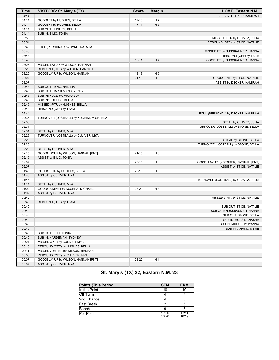| <b>Time</b> | <b>VISITORS: St. Mary's (TX)</b>        | <b>Score</b> | <b>Margin</b>  | HOME: Eastern N.M.                   |
|-------------|-----------------------------------------|--------------|----------------|--------------------------------------|
| 04:14       |                                         |              |                | SUB IN: DECKER, KAMIRAH              |
| 04:14       | GOOD! FT by HUGHES, BELLA               | $17-10$      | H <sub>7</sub> |                                      |
| 04:14       | GOOD! FT by HUGHES, BELLA               | $17 - 11$    | H <sub>6</sub> |                                      |
| 04:14       | SUB OUT: HUGHES, BELLA                  |              |                |                                      |
| 04:14       | SUB IN: BILIC, TONIA                    |              |                |                                      |
| 03:59       |                                         |              |                | MISSED 3PTR by CHAVEZ, JULIA         |
| 03:54       |                                         |              |                | REBOUND (OFF) by STICE, NATALIE      |
| 03:43       | FOUL (PERSONAL) by RYNG, NATALIA        |              |                |                                      |
| 03:43       |                                         |              |                | MISSED FT by NUSSBAUMER, HANNA       |
| 03:43       |                                         |              |                | REBOUND (OFF) by TEAM                |
| 03:43       |                                         | $18 - 11$    | H 7            | GOOD! FT by NUSSBAUMER, HANNA        |
| 03:26       | MISSED LAYUP by WILSON, HANNAH          |              |                |                                      |
| 03:20       | REBOUND (OFF) by WILSON, HANNAH         |              |                |                                      |
| 03:20       | GOOD! LAYUP by WILSON, HANNAH           | $18 - 13$    | H <sub>5</sub> |                                      |
| 03:07       |                                         | $21 - 13$    | H <sub>8</sub> | GOOD! 3PTR by STICE, NATALIE         |
| 03:07       |                                         |              |                | ASSIST by DECKER, KAMIRAH            |
| 02:48       | SUB OUT: RYNG, NATALIA                  |              |                |                                      |
| 02:48       | SUB OUT: HARDEMAN, SYDNEY               |              |                |                                      |
| 02:48       | SUB IN: KUCERA, MICHAELA                |              |                |                                      |
| 02:48       | SUB IN: HUGHES, BELLA                   |              |                |                                      |
| 02:45       | MISSED 3PTR by HUGHES, BELLA            |              |                |                                      |
| 02:44       | REBOUND (OFF) by TEAM                   |              |                |                                      |
| 02:44       |                                         |              |                | FOUL (PERSONAL) by DECKER, KAMIRAH   |
| 02:36       | TURNOVER (LOSTBALL) by KUCERA, MICHAELA |              |                |                                      |
| 02:36       |                                         |              |                | STEAL by CHAVEZ, JULIA               |
| 02:31       |                                         |              |                | TURNOVER (LOSTBALL) by STONE, BELLA  |
| 02:31       | STEAL by CULIVER, MYA                   |              |                |                                      |
| 02:26       | TURNOVER (LOSTBALL) by CULIVER, MYA     |              |                |                                      |
| 02:26       |                                         |              |                | STEAL by STONE, BELLA                |
| 02:25       |                                         |              |                | TURNOVER (LOSTBALL) by STONE, BELLA  |
| 02:25       | STEAL by CULIVER, MYA                   |              |                |                                      |
| 02:15       | GOOD! LAYUP by WILSON, HANNAH [PNT]     | 21-15        | H 6            |                                      |
| 02:15       | ASSIST by BILIC, TONIA                  |              |                |                                      |
| 02:07       |                                         | $23 - 15$    | H <sub>8</sub> | GOOD! LAYUP by DECKER, KAMIRAH [PNT] |
| 02:07       |                                         |              |                | ASSIST by STICE, NATALIE             |
| 01:46       | GOOD! 3PTR by HUGHES, BELLA             | $23 - 18$    | H 5            |                                      |
| 01:46       | ASSIST by CULIVER, MYA                  |              |                |                                      |
| 01:14       |                                         |              |                | TURNOVER (LOSTBALL) by CHAVEZ, JULIA |
| 01:14       | STEAL by CULIVER, MYA                   |              |                |                                      |
| 01:02       | GOOD! JUMPER by KUCERA, MICHAELA        | 23-20        | H <sub>3</sub> |                                      |
| 01:02       | ASSIST by CULIVER, MYA                  |              |                |                                      |
| 00:42       |                                         |              |                | MISSED 3PTR by STICE, NATALIE        |
| 00:40       | REBOUND (DEF) by TEAM                   |              |                |                                      |
| 00:40       |                                         |              |                | SUB OUT: STICE, NATALIE              |
| 00:40       |                                         |              |                | SUB OUT: NUSSBAUMER, HANNA           |
| 00:40       |                                         |              |                | SUB OUT: STONE, BELLA                |
| 00:40       |                                         |              |                | SUB IN: HURST, ANASHA                |
| 00:40       |                                         |              |                | SUB IN: MCCURDY, IYANNA              |
| 00:40       |                                         |              |                | SUB IN: AMAND, MEME                  |
| 00:40       | SUB OUT: BILIC, TONIA                   |              |                |                                      |
| 00:40       | SUB IN: HARDEMAN, SYDNEY                |              |                |                                      |
| 00:21       | MISSED 3PTR by CULIVER, MYA             |              |                |                                      |
| 00:15       | REBOUND (OFF) by HUGHES, BELLA          |              |                |                                      |
| 00:11       | MISSED JUMPER by WILSON, HANNAH         |              |                |                                      |
| 00:08       | REBOUND (OFF) by CULIVER, MYA           |              |                |                                      |
| 00:07       | GOOD! LAYUP by WILSON, HANNAH [PNT]     | 23-22        | H 1            |                                      |
| 00:07       | ASSIST by CULIVER, MYA                  |              |                |                                      |

## **St. Mary's (TX) 22, Eastern N.M. 23**

| <b>Points (This Period)</b> | <b>STM</b>     | <b>ENM</b>     |
|-----------------------------|----------------|----------------|
| In the Paint                | 10             | 10             |
| Off Turns                   |                |                |
| 2nd Chance                  |                | 3              |
| <b>Fast Break</b>           |                | 5              |
| Bench                       |                | ว              |
| Per Poss                    | 1.100<br>10/20 | 1.211<br>10/19 |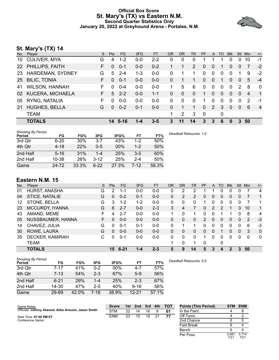#### **Official Box Score St. Mary's (TX) vs Eastern N.M. Second Quarter Statistics Only January 20, 2022 at Greyhound Arena - Portales, N.M.**



## **St. Mary's (TX) 14**

| No.             | Player                  | S. | <b>Pts</b>   | FG.     | 3FG     | <b>FT</b> | <b>OR</b> | <b>DR</b> | TR             | <b>PF</b> | A            | TO       | <b>Blk</b>   | Stl            | Min            | $+/-$          |
|-----------------|-------------------------|----|--------------|---------|---------|-----------|-----------|-----------|----------------|-----------|--------------|----------|--------------|----------------|----------------|----------------|
| 10              | <b>CULIVER, MYA</b>     | G  | 4            | $1 - 2$ | $0 - 0$ | $2 - 2$   | 0         | 0         | 0              |           |              |          | 0            | 0              | 10             | -1             |
| 22              | <b>PHILLIPS, FAITH</b>  | F. | $\Omega$     | $0 - 1$ | $0 - 0$ | $0 - 2$   |           |           | $\overline{2}$ | 0         | $\Omega$     | 1        | $\Omega$     | $\Omega$       | 7              | $-2$           |
| 23              | HARDEMAN, SYDNEY        | G  | 5            | $2 - 4$ | $1 - 3$ | $0-0$     | 0         |           | 1.             | $\Omega$  | $\mathbf 0$  | 0        | 0            |                | 9              | $-2$           |
| 25 <sub>2</sub> | <b>BILIC, TONIA</b>     | F. | $\Omega$     | $0 - 1$ | $0-0$   | $0 - 0$   | 0         |           | 1              | 0         | $\mathbf{0}$ | 1        | $\Omega$     | $\Omega$       | 5              | $-4$           |
| 41              | <b>WILSON, HANNAH</b>   | F  | <sup>0</sup> | $0 - 4$ | $0-0$   | $0-0$     |           | 5         | 6              | $\Omega$  | $\mathbf 0$  | 0        | $\Omega$     | $\overline{2}$ | 8              | $\mathbf 0$    |
| 02              | <b>KUCERA, MICHAELA</b> | F. | 5            | $2 - 2$ | $0-0$   | $1 - 1$   | 0         | $\Omega$  | $\Omega$       | 1         | $\Omega$     | $\Omega$ | $\Omega$     | $\Omega$       | $\overline{4}$ | $\mathbf{1}$   |
| 05              | RYNG, NATALIA           | F  | 0            | $0 - 0$ | $0-0$   | $0-0$     | 0         | $\Omega$  | 0              | 1         | $\Omega$     | 0        | $\Omega$     | $\Omega$       | 2              | -1             |
| 21              | <b>HUGHES, BELLA</b>    | G  | $\Omega$     | $0 - 2$ | $0 - 1$ | $0 - 0$   | 0         |           | 1              | $\Omega$  | $2^{\circ}$  | 3        | $\mathbf{0}$ | $\Omega$       | 6              | $\overline{4}$ |
|                 | <b>TEAM</b>             |    |              |         |         |           | 1         | 2         | 3              | 0         |              | 0        |              |                |                |                |
|                 | <b>TOTALS</b>           |    |              | 14 5-16 | 1-4     | $3 - 5$   | 3         | 11        | 14             | 3         | 3            | 6        | 0            | 3              | 50             |                |
|                 |                         |    |              |         |         |           |           |           |                |           |              |          |              |                |                |                |

| <b>Shooting By Period</b><br>Period | FG       | FG%   | 3FG      | 3FG%  | FT      | FT%   | Deadball Rebounds: 1,0 |
|-------------------------------------|----------|-------|----------|-------|---------|-------|------------------------|
| 3rd Qtr                             | $6 - 20$ | 30%   | $3 - 7$  | 43%   | $1-2$   | 50%   |                        |
| 4th Qtr                             | $4 - 18$ | 22%   | $0 - 5$  | 00%   | $1 - 2$ | 50%   |                        |
| 2nd Half                            | $5 - 16$ | 31%   | $1 - 4$  | 25%   | $3-5$   | 60%   |                        |
| 2nd Half                            | 10-38    | 26%   | $3 - 12$ | 25%   | $2 - 4$ | 50%   |                        |
| Game                                | 24 72    | 33.3% | $6 - 22$ | 27.3% | 7-12    | 58.3% |                        |

## **Eastern N.M. 15**

| No. | Plaver            | S  | <b>Pts</b> | <b>FG</b> | 3FG     | <b>FT</b> | <b>OR</b> | DR | TR       | PF       | A | TO       | <b>Blk</b> | Stl | Min      | $+/-$        |
|-----|-------------------|----|------------|-----------|---------|-----------|-----------|----|----------|----------|---|----------|------------|-----|----------|--------------|
| 01  | HURST, ANASHA     | G  | 2          | $1 - 1$   | $0 - 0$ | $0 - 0$   | 0         | 2  | າ        |          |   | 0        | 0          | 0   |          | 4            |
| 04  | STICE, NATALIE    | G  | 0          | $0 - 2$   | $0 - 1$ | $0 - 0$   | 0         | 2  | 2        | 0        | 0 | 0        | 0          | 0   |          | 1            |
| 12  | STONE, BELLA      | G  | 3          | $1 - 2$   | $1 - 2$ | $0-0$     | 0         | 0  | 0        | 1        | 0 | 0        | 0          | 0   |          | 1            |
| 23  | MCCURDY, IYANNA   | G  | 6          | $2 - 7$   | $0 - 0$ | $2 - 3$   | 3         | 4  |          | 0        | 2 | 2        |            | 3   | 10       | 1            |
| 43  | AMAND, MEME       | F  | 4          | $2 - 7$   | 0-0     | $0-0$     |           | 0  | 1        | 0        | 0 |          |            | 0   | 8        | 4            |
| 05  | NUSSBAUMER, HANNA | F. | 0          | $0 - 0$   | $0 - 0$ | $0 - 0$   | 0         | 0  | 0        | 2        | 0 | 0        | 0          | 0   | 2        | $-3$         |
| 14  | CHAVEZ, JULIA     | G  | 0          | $0 - 1$   | $0 - 1$ | $0-0$     | 0         | 4  | 1        | 0        | 0 | 0        | 0          | 0   | 6        | -3           |
| 30  | ROWE, LAURA       | G  | $\Omega$   | $0 - 0$   | $0 - 0$ | $0 - 0$   | 0         | 0  | 0        | 0        | 0 |          | 0          | 0   | 3        | $\Omega$     |
| 35  | DECKER, KAMIRAH   | С  | $\Omega$   | $0 - 1$   | 0-0     | $0 - 0$   | $\Omega$  | 0  | $\Omega$ |          | 0 | $\Omega$ | 0          | 0   | $\Omega$ | $\mathbf{0}$ |
|     | <b>TEAM</b>       |    |            |           |         |           |           | 0  | 1        | $\Omega$ |   | 0        |            |     |          |              |
|     | <b>TOTALS</b>     |    | 15         | $6 - 21$  | $1 - 4$ | $2 - 3$   | 5         | 9  | 14       | 5        | 3 | Δ        | 2          | 3   | 50       |              |

| <b>Shooting By Period</b><br>Period | FG       | FG%   | 3FG     | 3FG%   | FT        | FT%   | Deadball Rebounds: 5,0 |
|-------------------------------------|----------|-------|---------|--------|-----------|-------|------------------------|
| 3rd Qtr                             | 7-17     | 41%   | $0 - 2$ | $00\%$ | $4 - 7$   | 57%   |                        |
| 4th Qtr                             | $7 - 13$ | 54%   | $2 - 3$ | 67%    | $5-9$     | 56%   |                        |
| 2nd Half                            | $6 - 21$ | 29%   | $1 - 4$ | 25%    | $2 - 3$   | 67%   |                        |
| 2nd Half                            | 14-30    | 47%   | $2 - 5$ | 40%    | $9 - 16$  | 56%   |                        |
| Game                                | 29-69    | 42.0% | 7-18    | 38.9%  | $12 - 21$ | 57.1% |                        |

| Game Notes:                                          | <b>Score</b> | 1st l | 2nd | 3rd | 4th | <b>TOT</b> | <b>Points (This Period)</b> | <b>STM</b>    | <b>ENM</b>    |
|------------------------------------------------------|--------------|-------|-----|-----|-----|------------|-----------------------------|---------------|---------------|
| Officials: Johnny Atwood, Alika Arisumi, Jason Smith | <b>STM</b>   | 22    | 14  | 16  |     | 61         | In the Paint                | 4             |               |
| Start Time: 07:00 PM ET                              | <b>ENM</b>   | 23    | 15  | 18  | 21  | 77         | Off Turns                   |               |               |
| Conference Game:                                     |              |       |     |     |     |            | 2nd Chance                  |               |               |
|                                                      |              |       |     |     |     |            | <b>Fast Break</b>           |               |               |
|                                                      |              |       |     |     |     |            | Bench                       |               |               |
|                                                      |              |       |     |     |     |            | Per Poss                    | 0.667<br>7/21 | 0.714<br>7/21 |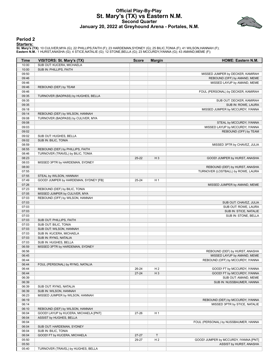#### **Official Play-By-Play St. Mary's (TX) vs Eastern N.M. Second Quarter January 20, 2022 at Greyhound Arena - Portales, N.M.**



#### **Period 2**

**Starters:**

**St. Mary's (TX)**: 10 CULIVER,MYA (G); 22 PHILLIPS,FAITH (F); 23 HARDEMAN,SYDNEY (G); 25 BILIC,TONIA (F); 41 WILSON,HANNAH (F);<br>**Eastern N.M.**: 1 HURST,ANASHA (G); 4 STICE,NATALIE (G); 12 STONE,BELLA (G); 23 MCCURDY,IYANNA

| Time           | VISITORS: St. Mary's (TX)                                        | <b>Score</b> | <b>Margin</b>  | <b>HOME: Eastern N.M.</b>             |
|----------------|------------------------------------------------------------------|--------------|----------------|---------------------------------------|
| 10:00          | SUB OUT: KUCERA, MICHAELA                                        |              |                |                                       |
| 10:00          | SUB IN: PHILLIPS, FAITH                                          |              |                |                                       |
| 09:50          |                                                                  |              |                | MISSED JUMPER by DECKER, KAMIRAH      |
| 09:46          |                                                                  |              |                | REBOUND (OFF) by AMAND, MEME          |
| 09:46          |                                                                  |              |                | MISSED LAYUP by AMAND, MEME           |
| 09:46          | REBOUND (DEF) by TEAM                                            |              |                |                                       |
| 09:46          |                                                                  |              |                | FOUL (PERSONAL) by DECKER, KAMIRAH    |
| 09:35          | TURNOVER (BADPASS) by HUGHES, BELLA                              |              |                |                                       |
| 09:35          |                                                                  |              |                | SUB OUT: DECKER, KAMIRAH              |
| 09:35          |                                                                  |              |                | SUB IN: ROWE, LAURA                   |
| 09:18          |                                                                  |              |                | MISSED JUMPER by MCCURDY, IYANNA      |
| 09:14          | REBOUND (DEF) by WILSON, HANNAH                                  |              |                |                                       |
| 09:08          | TURNOVER (BADPASS) by CULIVER, MYA                               |              |                |                                       |
| 09:08<br>09:03 |                                                                  |              |                | STEAL by MCCURDY, IYANNA              |
| 09:02          |                                                                  |              |                | MISSED LAYUP by MCCURDY, IYANNA       |
| 09:02          | SUB OUT: HUGHES, BELLA                                           |              |                | REBOUND (OFF) by TEAM                 |
| 09:02          | SUB IN: BILIC, TONIA                                             |              |                |                                       |
| 08:59          |                                                                  |              |                | MISSED 3PTR by CHAVEZ, JULIA          |
| 08:55          | REBOUND (DEF) by PHILLIPS, FAITH                                 |              |                |                                       |
| 08:46          | TURNOVER (TRAVEL) by BILIC, TONIA                                |              |                |                                       |
| 08:23          |                                                                  | $25 - 22$    | $H_3$          | GOOD! JUMPER by HURST, ANASHA         |
| 08:03          | MISSED 3PTR by HARDEMAN, SYDNEY                                  |              |                |                                       |
| 08:00          |                                                                  |              |                | REBOUND (DEF) by HURST, ANASHA        |
| 07:55          |                                                                  |              |                | TURNOVER (LOSTBALL) by ROWE, LAURA    |
| 07:55          | STEAL by WILSON, HANNAH                                          |              |                |                                       |
| 07:49          | GOOD! JUMPER by HARDEMAN, SYDNEY [FB]                            | 25-24        | H <sub>1</sub> |                                       |
| 07:26          |                                                                  |              |                | MISSED JUMPER by AMAND, MEME          |
| 07:23          | REBOUND (DEF) by BILIC, TONIA                                    |              |                |                                       |
| 07:05          | MISSED JUMPER by CULIVER, MYA                                    |              |                |                                       |
| 07:03          | REBOUND (OFF) by WILSON, HANNAH                                  |              |                |                                       |
| 07:03          |                                                                  |              |                | SUB OUT: CHAVEZ, JULIA                |
| 07:03          |                                                                  |              |                | SUB OUT: ROWE, LAURA                  |
| 07:03          |                                                                  |              |                | SUB IN: STICE, NATALIE                |
| 07:03          |                                                                  |              |                | SUB IN: STONE, BELLA                  |
| 07:03          | SUB OUT: PHILLIPS, FAITH                                         |              |                |                                       |
| 07:03          | SUB OUT: BILIC, TONIA                                            |              |                |                                       |
| 07:03          | SUB OUT: WILSON, HANNAH                                          |              |                |                                       |
| 07:03          | SUB IN: KUCERA, MICHAELA                                         |              |                |                                       |
| 07:03          | SUB IN: RYNG, NATALIA                                            |              |                |                                       |
| 07:03          | SUB IN: HUGHES, BELLA                                            |              |                |                                       |
| 06:59          | MISSED 3PTR by HARDEMAN, SYDNEY                                  |              |                |                                       |
| 06:56          |                                                                  |              |                | REBOUND (DEF) by HURST, ANASHA        |
| 06:45          |                                                                  |              |                | MISSED LAYUP by AMAND, MEME           |
| 06:44          |                                                                  |              |                | REBOUND (OFF) by MCCURDY, IYANNA      |
| 06:44          | FOUL (PERSONAL) by RYNG, NATALIA                                 |              |                |                                       |
| 06:44          |                                                                  | 26-24        | H <sub>2</sub> | GOOD! FT by MCCURDY, IYANNA           |
| 06:44          |                                                                  | $27 - 24$    | $H_3$          | GOOD! FT by MCCURDY, IYANNA           |
| 06:39          |                                                                  |              |                | SUB OUT: AMAND, MEME                  |
| 06:39          |                                                                  |              |                | SUB IN: NUSSBAUMER, HANNA             |
| 06:39          | SUB OUT: RYNG, NATALIA                                           |              |                |                                       |
| 06:39          | SUB IN: WILSON, HANNAH                                           |              |                |                                       |
| 06:23          | MISSED JUMPER by WILSON, HANNAH                                  |              |                |                                       |
| 06:19          |                                                                  |              |                | REBOUND (DEF) by MCCURDY, IYANNA      |
| 06:14          | REBOUND (DEF) by WILSON, HANNAH                                  |              |                | MISSED 3PTR by STICE, NATALIE         |
| 06:10<br>06:04 |                                                                  | 27-26        | H <sub>1</sub> |                                       |
| 06:04          | GOOD! LAYUP by KUCERA, MICHAELA [PNT]<br>ASSIST by HUGHES, BELLA |              |                |                                       |
| 06:04          |                                                                  |              |                | FOUL (PERSONAL) by NUSSBAUMER, HANNA  |
| 06:04          | SUB OUT: HARDEMAN, SYDNEY                                        |              |                |                                       |
| 06:04          | SUB IN: BILIC, TONIA                                             |              |                |                                       |
| 06:04          | GOOD! FT by KUCERA, MICHAELA                                     | $27 - 27$    | $\mathsf T$    |                                       |
| 05:50          |                                                                  | 29-27        | H <sub>2</sub> | GOOD! JUMPER by MCCURDY, IYANNA [PNT] |
| 05:50          |                                                                  |              |                | ASSIST by HURST, ANASHA               |
| 05:40          | TURNOVER (TRAVEL) by HUGHES, BELLA                               |              |                |                                       |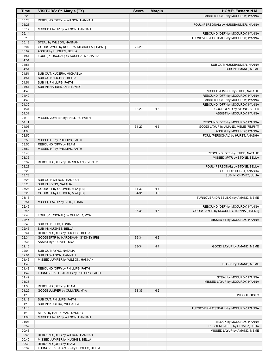| Time           | VISITORS: St. Mary's (TX)                | <b>Score</b> | <b>Margin</b>  | HOME: Eastern N.M.                      |
|----------------|------------------------------------------|--------------|----------------|-----------------------------------------|
| 05:28          |                                          |              |                | MISSED LAYUP by MCCURDY, IYANNA         |
| 05:28          | REBOUND (DEF) by WILSON, HANNAH          |              |                |                                         |
| 05:28          |                                          |              |                | FOUL (PERSONAL) by NUSSBAUMER, HANNA    |
| 05:17          | MISSED LAYUP by WILSON, HANNAH           |              |                |                                         |
| 05:14          |                                          |              |                | REBOUND (DEF) by MCCURDY, IYANNA        |
| 05:13          |                                          |              |                | TURNOVER (LOSTBALL) by MCCURDY, IYANNA  |
| 05:13          | STEAL by WILSON, HANNAH                  |              |                |                                         |
| 05:07          | GOOD! LAYUP by KUCERA, MICHAELA [FB/PNT] | 29-29        | Т              |                                         |
| 05:07          | ASSIST by HUGHES, BELLA                  |              |                |                                         |
| 04:51          | FOUL (PERSONAL) by KUCERA, MICHAELA      |              |                |                                         |
| 04:51          |                                          |              |                |                                         |
| 04:51          |                                          |              |                | SUB OUT: NUSSBAUMER, HANNA              |
| 04:51          |                                          |              |                | SUB IN: AMAND, MEME                     |
| 04:51          | SUB OUT: KUCERA, MICHAELA                |              |                |                                         |
| 04:51          | SUB OUT: HUGHES, BELLA                   |              |                |                                         |
| 04:51          | SUB IN: PHILLIPS, FAITH                  |              |                |                                         |
| 04:51          | SUB IN: HARDEMAN, SYDNEY                 |              |                |                                         |
| 04:45          |                                          |              |                | MISSED JUMPER by STICE, NATALIE         |
| 04:40          |                                          |              |                | REBOUND (OFF) by MCCURDY, IYANNA        |
| 04:40          |                                          |              |                | MISSED LAYUP by MCCURDY, IYANNA         |
| 04:39          |                                          |              |                | REBOUND (OFF) by MCCURDY, IYANNA        |
| 04:31          |                                          | 32-29        | $H_3$          | GOOD! 3PTR by STONE, BELLA              |
| 04:31<br>04:14 |                                          |              |                | ASSIST by MCCURDY, IYANNA               |
| 04:11          | MISSED JUMPER by PHILLIPS, FAITH         |              |                | REBOUND (DEF) by MCCURDY, IYANNA        |
| 04:08          |                                          | 34-29        | H <sub>5</sub> | GOOD! LAYUP by AMAND, MEME [FB/PNT]     |
| 04:08          |                                          |              |                | ASSIST by MCCURDY, IYANNA               |
| 03:50          |                                          |              |                | FOUL (PERSONAL) by HURST, ANASHA        |
| 03:50          | MISSED FT by PHILLIPS, FAITH             |              |                |                                         |
| 03:50          | REBOUND (OFF) by TEAM                    |              |                |                                         |
| 03:50          | MISSED FT by PHILLIPS, FAITH             |              |                |                                         |
| 03:48          |                                          |              |                | REBOUND (DEF) by STICE, NATALIE         |
| 03:36          |                                          |              |                | MISSED 3PTR by STONE, BELLA             |
| 03:32          | REBOUND (DEF) by HARDEMAN, SYDNEY        |              |                |                                         |
| 03:28          |                                          |              |                | FOUL (PERSONAL) by STONE, BELLA         |
| 03:28          |                                          |              |                | SUB OUT: HURST, ANASHA                  |
| 03:28          |                                          |              |                | SUB IN: CHAVEZ, JULIA                   |
| 03:28          | SUB OUT: WILSON, HANNAH                  |              |                |                                         |
| 03:28          | SUB IN: RYNG, NATALIA                    |              |                |                                         |
| 03:28          | GOOD! FT by CULIVER, MYA [FB]            | 34-30        | H <sub>4</sub> |                                         |
| 03:28          | GOOD! FT by CULIVER, MYA [FB]            | $34 - 31$    | $H_3$          |                                         |
| 03:13          |                                          |              |                | TURNOVER (DRIBBLING) by AMAND, MEME     |
| 02:51          | MISSED LAYUP by BILIC, TONIA             |              |                |                                         |
| 02:46          |                                          |              |                | REBOUND (DEF) by MCCURDY, IYANNA        |
| 02:46          |                                          | 36-31        | H <sub>5</sub> | GOOD! LAYUP by MCCURDY, IYANNA [FB/PNT] |
| 02:46          | FOUL (PERSONAL) by CULIVER, MYA          |              |                |                                         |
| 02:45          |                                          |              |                | MISSED FT by MCCURDY, IYANNA            |
| 02:45          | SUB OUT: BILIC, TONIA                    |              |                |                                         |
| 02:45          | SUB IN: HUGHES, BELLA                    |              |                |                                         |
| 02:44          | REBOUND (DEF) by HUGHES, BELLA           |              |                |                                         |
| 02:34          | GOOD! 3PTR by HARDEMAN, SYDNEY [FB]      | 36-34        | H <sub>2</sub> |                                         |
| 02:34          | ASSIST by CULIVER, MYA                   |              |                |                                         |
| 02:16          |                                          | 38-34        | H4             | GOOD! LAYUP by AMAND, MEME              |
| 02:04          | SUB OUT: RYNG, NATALIA                   |              |                |                                         |
| 02:04          | SUB IN: WILSON, HANNAH                   |              |                |                                         |
| 01:46          | MISSED JUMPER by WILSON, HANNAH          |              |                |                                         |
| 01:46          |                                          |              |                | BLOCK by AMAND, MEME                    |
| 01:43          | REBOUND (OFF) by PHILLIPS, FAITH         |              |                |                                         |
| 01:42          | TURNOVER (LOSTBALL) by PHILLIPS, FAITH   |              |                |                                         |
| 01:42          |                                          |              |                | STEAL by MCCURDY, IYANNA                |
| 01:36<br>01:36 | REBOUND (DEF) by TEAM                    |              |                | MISSED LAYUP by MCCURDY, IYANNA         |
|                |                                          |              |                |                                         |
| 01:25<br>01:18 | GOOD! JUMPER by CULIVER, MYA             | 38-36        | H <sub>2</sub> | TIMEOUT 30SEC                           |
| 01:18          | SUB OUT: PHILLIPS, FAITH                 |              |                |                                         |
| 01:18          | SUB IN: KUCERA, MICHAELA                 |              |                |                                         |
| 01:10          |                                          |              |                | TURNOVER (LOSTBALL) by MCCURDY, IYANNA  |
| 01:10          | STEAL by HARDEMAN, SYDNEY                |              |                |                                         |
| 01:03          | MISSED LAYUP by WILSON, HANNAH           |              |                |                                         |
| 01:03          |                                          |              |                | BLOCK by MCCURDY, IYANNA                |
| 00:57          |                                          |              |                | REBOUND (DEF) by CHAVEZ, JULIA          |
| 00:48          |                                          |              |                | MISSED LAYUP by AMAND, MEME             |
| 00:45          | REBOUND (DEF) by WILSON, HANNAH          |              |                |                                         |
| 00:40          | MISSED JUMPER by HUGHES, BELLA           |              |                |                                         |
| 00:39          | REBOUND (OFF) by TEAM                    |              |                |                                         |
| 00:37          | TURNOVER (BADPASS) by HUGHES, BELLA      |              |                |                                         |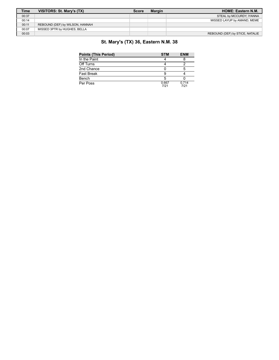| <b>Time</b> | VISITORS: St. Mary's (TX)       | <b>Score</b> | <b>Margin</b> | <b>HOME: Eastern N.M.</b>       |
|-------------|---------------------------------|--------------|---------------|---------------------------------|
| 00:37       |                                 |              |               | STEAL by MCCURDY, IYANNA        |
| 00:14       |                                 |              |               | MISSED LAYUP by AMAND, MEME     |
| 00:11       | REBOUND (DEF) by WILSON, HANNAH |              |               |                                 |
| 00:07       | MISSED 3PTR by HUGHES, BELLA    |              |               |                                 |
| 00:03       |                                 |              |               | REBOUND (DEF) by STICE, NATALIE |

## **St. Mary's (TX) 36, Eastern N.M. 38**

| <b>Points (This Period)</b> | <b>STM</b>    | <b>ENM</b>    |
|-----------------------------|---------------|---------------|
| In the Paint                |               |               |
| Off Turns                   |               |               |
| 2nd Chance                  |               | 5             |
| <b>Fast Break</b>           |               |               |
| Bench                       |               |               |
| Per Poss                    | 0.667<br>7/21 | 0.714<br>7/21 |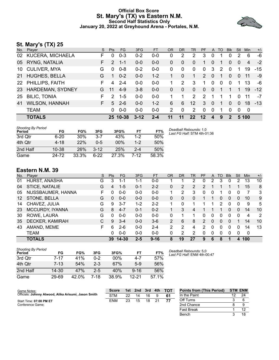#### **Official Box Score St. Mary's (TX) vs Eastern N.M. Second Half Statistics Only January 20, 2022 at Greyhound Arena - Portales, N.M.**



## **St. Mary's (TX) 25**

| No. | Player                  | S. | <b>Pts</b>    | FG.      | 3FG      | <b>FT</b> | <b>OR</b>     | D <sub>R</sub> | <b>TR</b>         | <b>PF</b>    | A              | TO       | <b>Blk</b>   | Stl            | <b>Min</b>     | $+/-$ |
|-----|-------------------------|----|---------------|----------|----------|-----------|---------------|----------------|-------------------|--------------|----------------|----------|--------------|----------------|----------------|-------|
| 02  | <b>KUCERA, MICHAELA</b> | F  | $\Omega$      | $0 - 3$  | $0 - 2$  | $0 - 0$   | 0             | 2              | 2                 | 3            | 0              |          | 0            | 2              | 6              | -6    |
|     | 05 RYNG, NATALIA        | F. | $\mathcal{P}$ | $1 - 1$  | $0-0$    | $0 - 0$   | 0             | $\mathbf{0}$   | $\mathbf{0}$      | 1            | $\overline{0}$ |          | 0            | $\overline{0}$ | $\overline{4}$ | $-2$  |
|     | 10 CULIVER, MYA         | G  | $\Omega$      | $0 - 8$  | $0 - 2$  | $0-0$     | 0             | 0              | 0                 | $\mathbf{0}$ | 3              | 2        | $\Omega$     | 1              | 19             | $-15$ |
| 21  | <b>HUGHES, BELLA</b>    | G  |               | $0 - 2$  | $0-0$    | $1 - 2$   |               | $\Omega$       | 1.                | 2            | $\Omega$       | 1        | $\Omega$     | $\Omega$       | 11             | -9    |
|     | 22 PHILLIPS, FAITH      | F  | 4             | $2 - 4$  | $0 - 0$  | $0-0$     |               | $\mathcal{P}$  | 3                 | 1            | $\mathbf{0}$   | $\Omega$ | $\Omega$     | 1              | 13             | -6    |
| 23  | <b>HARDEMAN, SYDNEY</b> | G  | 11            | $4 - 9$  | $3 - 8$  | $0 - 0$   | 0             | $\Omega$       | $\mathbf{0}$      | $\Omega$     | $\mathbf{0}$   |          | 1            |                | 19             | $-12$ |
| 25  | <b>BILIC, TONIA</b>     | F  | $\mathcal{P}$ | $1 - 5$  | $0 - 0$  | $0 - 0$   |               | 1              | $\overline{2}$    | 2            | 1              |          | 1            | $\Omega$       | 11             | $-7$  |
| 41  | <b>WILSON, HANNAH</b>   | F. | 5             | $2 - 6$  | $0-0$    | $1 - 2$   | 6             | 6              | $12 \overline{ }$ | 3            | $\Omega$       | 1        | 0            | $\Omega$       | 18             | $-13$ |
|     | <b>TEAM</b>             |    | 0             | $0 - 0$  | $0-0$    | $0 - 0$   | $\mathcal{P}$ | $\mathbf{0}$   | 2                 | $\Omega$     | $\mathbf{0}$   |          | $\Omega$     | $\Omega$       | 0              |       |
|     | <b>TOTALS</b>           |    |               | 25 10-38 | $3 - 12$ | $2 - 4$   | 11            | 11             | 22                | $12 \,$      | 4              | 9        | $\mathbf{p}$ |                | 5 100          |       |

| <b>Shooting By Period</b><br>Period | FG        | FG%   | 3FG      | 3FG%  | FT      | FT%   | Deadball Rebounds: 1,0<br>Last FG Half: STM 4th-01:36 |
|-------------------------------------|-----------|-------|----------|-------|---------|-------|-------------------------------------------------------|
| 3rd Qtr                             | $6 - 20$  | 30%   | $3 - 7$  | 43%   | $1 - 2$ | 50%   |                                                       |
| 4th Qtr                             | $4 - 18$  | 22%   | $0 - 5$  | 00%   | $1 - 2$ | 50%   |                                                       |
| 2nd Half                            | $10 - 38$ | 26%   | $3 - 12$ | 25%   | $2 - 4$ | 50%   |                                                       |
| Game                                | 24-72     | 33.3% | $6 - 22$ | 27.3% | 7-12    | 58.3% |                                                       |

#### **Eastern N.M. 39**

| No. | Plaver            | S | <b>Pts</b> | FG      | 3FG     | <b>FT</b> | <b>OR</b>      | DR | TR       | <b>PF</b> | A        | TO | <b>Blk</b> | Stl      | Min | $+/-$ |
|-----|-------------------|---|------------|---------|---------|-----------|----------------|----|----------|-----------|----------|----|------------|----------|-----|-------|
| 01  | HURST, ANASHA     | G | 3          | 1-1     | 1-1     | $0-0$     |                |    |          |           | 2        | 3  | 0          | 2        | 13  | 10    |
| 04  | STICE, NATALIE    | G | 4          | $1 - 5$ | $0 - 1$ | $2 - 2$   | 0              | 2  | 2        | 2         |          |    |            |          | 15  | 8     |
| 05  | NUSSBAUMER, HANNA | F | 0          | $0-0$   | $0 - 0$ | $0 - 0$   |                | 2  | 3        | 0         | 0        |    | 0          | 0        |     | 3     |
| 12  | STONE, BELLA      | G | 0          | $0 - 0$ | $0 - 0$ | $0 - 0$   | 0              | 0  | $\Omega$ |           |          | 0  | 0          | 0        | 10  | 9     |
| 14  | CHAVEZ, JULIA     | G | 9          | $3 - 7$ | 1-2     | $2 - 2$   |                | O  |          |           |          | 2  | 0          | 0        | 9   | 5     |
| 23  | MCCURDY, IYANNA   | G | 8          | $4 - 7$ | $0 - 1$ | $0 - 2$   |                | 3  | 4        |           |          |    | 0          | 0        | 14  | 10    |
| 30  | ROWE, LAURA       | G | 0          | $0 - 0$ | $0 - 0$ | $0 - 0$   | $\Omega$       |    |          | 0         | 0        | 0  | 0          | $\Omega$ | 4   | 2     |
| 35  | DECKER, KAMIRAH   | С | 9          | $3 - 4$ | $0 - 0$ | $3-6$     | $\overline{2}$ | 6  | 8        | 2         | $\Omega$ | 0  | 0          |          | 14  | 10    |
| 43  | AMAND, MEME       | F | 6          | $2 - 6$ | $0 - 0$ | $2 - 4$   | 2              | 2  | 4        | 2         | 0        | 0  | 0          | $\Omega$ | 14  | 13    |
|     | TEAM              |   | 0          | $0 - 0$ | $0 - 0$ | $0 - 0$   | 0              | 2  | 2        | 0         | 0        | 0  | 0          | 0        | 0   |       |
|     | <b>TOTALS</b>     |   | 39         | 14-30   | $2 - 5$ | $9 - 16$  | 8              | 19 | 27       | 9         | 6        | 8  |            | 4        | 100 |       |

| <b>Shooting By Period</b><br>Period | FG        | FG%   | 3FG   | 3FG%  | FT       | FT%   |
|-------------------------------------|-----------|-------|-------|-------|----------|-------|
| 3rd Otr                             | 7-17      | 41%   | በ-2   | 00%   | 4-7      | 57%   |
| 4th Qtr                             | $7 - 13$  | 54%   | $2-3$ | 67%   | $5-9$    | 56%   |
| 2nd Half                            | $14 - 30$ | 47%   | $2-5$ | 40%   | $9 - 16$ | 56%   |
| Game                                | 29-69     | 42.0% | 7-18  | 38.9% | 12-21    | 57.1% |

*Deadball Rebounds:* 5,0 *Last FG Half:* ENM 4th-00:47

Bench 3 18

| Game Notes:                                          | <b>Score</b> | 1st l | 2nd | 3rd | 4th | <b>TOT</b> | <b>Points from (This Period)</b> | <b>STM ENM</b> |
|------------------------------------------------------|--------------|-------|-----|-----|-----|------------|----------------------------------|----------------|
| Officials: Johnny Atwood, Alika Arisumi, Jason Smith | <b>STM</b>   | つつ    | 14  | 16  |     |            | In the Paint                     |                |
| Start Time: 07:00 PM ET                              | ENM          | 23    | 15  | 18  | 21  |            | Off Turns                        |                |
| Conference Game:                                     |              |       |     |     |     |            | 2nd Chance                       |                |
|                                                      |              |       |     |     |     |            | <b>Fast Break</b>                |                |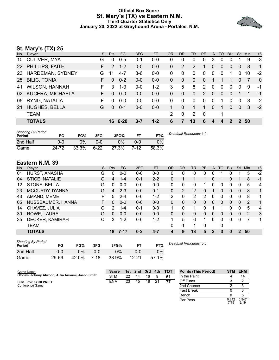#### **Official Box Score St. Mary's (TX) vs Eastern N.M. Third Quarter Statistics Only January 20, 2022 at Greyhound Arena - Portales, N.M.**



## **St. Mary's (TX) 25**

| No.             | Player                | S. | <b>Pts</b>    | FG      | 3FG     | <b>FT</b> | <b>OR</b>      | <b>DR</b>    | TR           | PF            | A            | TO       | <b>Blk</b> | Stl           | Min | $+/-$        |
|-----------------|-----------------------|----|---------------|---------|---------|-----------|----------------|--------------|--------------|---------------|--------------|----------|------------|---------------|-----|--------------|
| 10              | <b>CULIVER, MYA</b>   | G  | $\Omega$      | $0 - 5$ | $0 - 1$ | $0-0$     | 0              | 0            | 0            | 0             | 3            | 0        | 0          |               | 9   | $-3$         |
|                 | 22 PHILLIPS, FAITH    | F. | $\mathcal{P}$ | $1 - 2$ | $0-0$   | $0-0$     | 0              | 2            | 2            | 1             | $\Omega$     | 0        | $\Omega$   | $\Omega$      | 8   | $\mathbf{1}$ |
| 23              | HARDEMAN, SYDNEY      | G  | 11            | $4 - 7$ | $3-6$   | $0-0$     | 0              | $\Omega$     | 0            | $\Omega$      | $\mathbf 0$  | 0        | 1          | 0             | 10  | $-2$         |
| 25 <sub>2</sub> | <b>BILIC, TONIA</b>   | F  | $\Omega$      | $0 - 2$ | $0 - 0$ | $0 - 0$   | 0              | $\mathbf{0}$ | $\mathbf{0}$ | $\Omega$      |              | 1        | 1          | $\Omega$      | 7   | $\mathbf{0}$ |
| 41              | <b>WILSON, HANNAH</b> | F. | 3             | $1 - 3$ | $0-0$   | $1 - 2$   | 3              | 5            | 8            | 2             | $\Omega$     | $\Omega$ | $\Omega$   | $\Omega$      | 9   | $-1$         |
|                 | 02 KUCERA, MICHAELA   | F. | $\Omega$      | $0 - 0$ | $0-0$   | $0 - 0$   | 0              | $\Omega$     | $\Omega$     | $\mathcal{P}$ | $\Omega$     | $\Omega$ | $\Omega$   |               |     | $-1$         |
| 05              | RYNG, NATALIA         | F  | 0             | $0 - 0$ | $0 - 0$ | $0 - 0$   | 0              | 0            | 0            | 0             | $\mathbf 0$  | 1        | 0          | $\mathbf 0$   | 3   | $-2$         |
| 21              | <b>HUGHES, BELLA</b>  | G  | $\Omega$      | $0 - 1$ | $0-0$   | $0 - 0$   |                | $\Omega$     | 1            | 1.            | $\Omega$     | 1        | $\Omega$   | $\Omega$      | 3   | $-2$         |
|                 | <b>TEAM</b>           |    |               |         |         |           | $\overline{2}$ | $\mathbf{0}$ | 2            | $\mathbf 0$   |              | 1        |            |               |     |              |
|                 | <b>TOTALS</b>         |    | 16.           | 6-20    | $3 - 7$ | $1 - 2$   | 6              | 7            | 13           | 6             | $\mathbf{A}$ | 4        | 2          | $\mathcal{P}$ | 50  |              |
|                 |                       |    |               |         |         |           |                |              |              |               |              |          |            |               |     |              |

| <b>Shooting By Period</b><br>Period | FG    | FG%   | 3FG      | 3FG%  |      | FT%   | Deadball Rebounds: 1,0 |
|-------------------------------------|-------|-------|----------|-------|------|-------|------------------------|
| 2nd Half                            | 0-0   | 0%    | 0-0      | 9%    | ი-ი  | 0%    |                        |
| Game                                | 24-72 | 33.3% | $6 - 22$ | 27.3% | 7-12 | 58.3% |                        |

### **Eastern N.M. 39**

| No. | Player            | S  | <b>Pts</b> | <b>FG</b> | 3FG     | <b>FT</b> | <b>OR</b>    | DR | TR | PF | A        | TO       | <b>B</b> lk | Stl           | Min | $+/-$          |
|-----|-------------------|----|------------|-----------|---------|-----------|--------------|----|----|----|----------|----------|-------------|---------------|-----|----------------|
| 01  | HURST, ANASHA     | G  | 0          | $0 - 0$   | $0-0$   | $0-0$     | 0            | 0  | 0  | 0  |          |          |             |               | 5   | $-2$           |
| 04  | STICE, NATALIE    | G  | 4          | $1 - 4$   | $0 - 1$ | $2 - 2$   | 0            |    |    |    | 0        |          | 0           |               | 8   | $-1$           |
| 12  | STONE, BELLA      | G  | 0          | $0 - 0$   | $0 - 0$ | $0-0$     | 0            | 0  | 0  |    | 0        | 0        | 0           | 0             | 5   | $\overline{4}$ |
| 23  | MCCURDY, IYANNA   | G  | 4          | $2 - 3$   | $0 - 0$ | $0 - 1$   | 0            | 2  | 2  | 0  |          | 0        | 0           | $\Omega$      | 8   | $-1$           |
| 43  | AMAND, MEME       | F  | 5          | $2 - 4$   | $0 - 0$ | $1 - 2$   | 2            | 0  | 2  | 2  | 0        | $\Omega$ | 0           | 0             | 8   | 1              |
| 05  | NUSSBAUMER, HANNA | F. | 0          | $0 - 0$   | $0 - 0$ | $0-0$     | $\Omega$     | 0  | 0  | 0  | $\Omega$ | $\Omega$ | 0           | $\Omega$      | 2   | 1              |
| 14  | CHAVEZ, JULIA     | G  | 2          | $1 - 4$   | $0 - 1$ | $0 - 0$   |              | 0  | 1  | n  |          |          | 0           | 0             | 5   | 4              |
| 30  | ROWE, LAURA       | G  | 0          | $0 - 0$   | $0 - 0$ | $0 - 0$   | $\mathbf{0}$ | 0  | 0  | 0  | 0        | $\Omega$ | 0           | $\Omega$      | 2   | 3              |
| 35  | DECKER, KAMIRAH   | С  | 3          | $1 - 2$   | $0 - 0$ | $1-2$     | 1            | 5  | 6  |    | $\Omega$ | $\Omega$ | 0           | 0             | 7   | 1              |
|     | <b>TEAM</b>       |    |            |           |         |           | 0            |    | 1  | 0  |          | 0        |             |               |     |                |
|     | <b>TOTALS</b>     |    | 18         | $7 - 17$  | $0 - 2$ | $4 - 7$   | 4            | 9  | 13 | 5  | 2        | 3        | 0           | $\mathcal{P}$ | 50  |                |

| <b>Shooting By Period</b><br>Period | FG    | FG%   | 3FG    | 3FG%  |       | FT%   |
|-------------------------------------|-------|-------|--------|-------|-------|-------|
| 2nd Half                            | 0-0   | $0\%$ | ი-ი    | $0\%$ | ი-ი   | $0\%$ |
| Game                                | 29-69 | 42.0% | $7-18$ | 38.9% | 12-21 | 57.1% |

*Deadball Rebounds:* 5,0

| Game Notes:                                          | <b>Score</b> |    | 1st 2nd | 3rd | 4th | <b>TOT</b> | <b>Points (This Period)</b> |               | STM ENM       |
|------------------------------------------------------|--------------|----|---------|-----|-----|------------|-----------------------------|---------------|---------------|
| Officials: Johnny Atwood, Alika Arisumi, Jason Smith | <b>STM</b>   | 22 | 14      | 16  | 9   | 61         | In the Paint                |               | 14            |
| Start Time: 07:00 PM ET                              | <b>ENM</b>   | 23 | 15      | 18  | 21  | 77         | Off Turns                   |               |               |
| Conference Game;                                     |              |    |         |     |     |            | 2nd Chance                  |               |               |
|                                                      |              |    |         |     |     |            | Fast Break                  |               |               |
|                                                      |              |    |         |     |     |            | Bench                       |               |               |
|                                                      |              |    |         |     |     |            | Per Poss                    | 0.842<br>7/19 | 0.947<br>9/19 |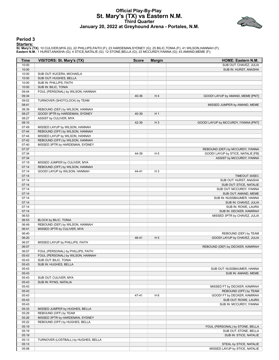#### **Official Play-By-Play St. Mary's (TX) vs Eastern N.M. Third Quarter January 20, 2022 at Greyhound Arena - Portales, N.M.**



#### **Period 3**

**Starters:**

**St. Mary's (TX)**: 10 CULIVER,MYA (G); 22 PHILLIPS,FAITH (F); 23 HARDEMAN,SYDNEY (G); 25 BILIC,TONIA (F); 41 WILSON,HANNAH (F);<br>**Eastern N.M.**: 1 HURST,ANASHA (G); 4 STICE,NATALIE (G); 12 STONE,BELLA (G); 23 MCCURDY,IYANNA

| 10:00<br>SUB OUT: CHAVEZ, JULIA<br>10:00<br>SUB IN: HURST, ANASHA<br>10:00<br>SUB OUT: KUCERA, MICHAELA<br>10:00<br>SUB OUT: HUGHES, BELLA<br>10:00<br>SUB IN: PHILLIPS, FAITH<br>10:00<br>SUB IN: BILIC, TONIA<br>FOUL (PERSONAL) by WILSON, HANNAH<br>09:44<br>09:34<br>40-36<br>H4<br>GOOD! LAYUP by AMAND, MEME [PNT]<br>09:02<br>TURNOVER (SHOTCLOCK) by TEAM<br>08:41<br>MISSED JUMPER by AMAND, MEME<br>08:39<br>REBOUND (DEF) by WILSON, HANNAH<br>08:27<br>GOOD! 3PTR by HARDEMAN, SYDNEY<br>40-39<br>H <sub>1</sub><br>08:27<br>ASSIST by CULIVER, MYA<br>08:10<br>42-39<br>$H_3$<br>GOOD! LAYUP by MCCURDY, IYANNA [PNT]<br>07:49<br>MISSED LAYUP by WILSON, HANNAH<br>07:44<br>REBOUND (OFF) by WILSON, HANNAH<br>07:44<br>MISSED LAYUP by WILSON, HANNAH<br>07:42<br>REBOUND (OFF) by WILSON, HANNAH<br>07:40<br>MISSED 3PTR by HARDEMAN, SYDNEY<br>07:37<br>REBOUND (DEF) by MCCURDY, IYANNA<br>07:34<br>GOOD! LAYUP by STICE, NATALIE [FB]<br>44-39<br>H <sub>5</sub><br>07:34<br>ASSIST by MCCURDY, IYANNA<br>07:19<br>MISSED JUMPER by CULIVER, MYA<br>07:14<br>REBOUND (OFF) by WILSON, HANNAH<br>07:14<br>$H_3$<br>GOOD! LAYUP by WILSON, HANNAH<br>44-41<br>07:14<br>TIMEOUT 30SEC<br>07:14<br>SUB OUT: HURST, ANASHA<br>07:14<br>SUB OUT: STICE, NATALIE<br>07:14<br>SUB OUT: MCCURDY, IYANNA<br>07:14<br>SUB OUT: AMAND, MEME<br>07:14<br>SUB IN: NUSSBAUMER, HANNA<br>07:14<br>SUB IN: CHAVEZ, JULIA<br>07:14<br>SUB IN: ROWE, LAURA<br>07:14<br>SUB IN: DECKER, KAMIRAH<br>06:53<br>MISSED 3PTR by CHAVEZ, JULIA<br>06:53<br>BLOCK by BILIC, TONIA<br>06:49<br>REBOUND (DEF) by WILSON, HANNAH<br>06:41<br>MISSED 3PTR by CULIVER, MYA<br>06:40<br>REBOUND (DEF) by TEAM<br>06:20<br>H <sub>5</sub><br>46-41<br>GOOD! LAYUP by CHAVEZ, JULIA<br>06:07<br>MISSED LAYUP by PHILLIPS, FAITH<br>06:07<br>REBOUND (DEF) by DECKER, KAMIRAH<br>06:07<br>FOUL (PERSONAL) by PHILLIPS, FAITH<br>05:43<br>FOUL (PERSONAL) by WILSON, HANNAH<br>SUB OUT: BILIC, TONIA<br>05:43<br>SUB IN: HUGHES, BELLA<br>05:43<br>05:43<br>SUB OUT: NUSSBAUMER, HANNA<br>05:43<br>SUB IN: AMAND, MEME<br>05:43<br>SUB OUT: CULIVER, MYA<br>05:43<br>SUB IN: RYNG, NATALIA<br>05:43<br>MISSED FT by DECKER, KAMIRAH<br>05:43<br>REBOUND (OFF) by TEAM<br>05:43<br>H <sub>6</sub><br>GOOD! FT by DECKER, KAMIRAH<br>47-41<br>05:43<br>SUB OUT: ROWE, LAURA<br>05:43<br>SUB IN: MCCURDY, IYANNA<br>05:33<br>MISSED JUMPER by HUGHES, BELLA<br>05:29<br>REBOUND (OFF) by TEAM<br>MISSED 3PTR by HARDEMAN, SYDNEY<br>05:26<br>05:22<br>REBOUND (OFF) by HUGHES, BELLA<br>05:19<br>FOUL (PERSONAL) by STONE, BELLA<br>05:19<br>SUB OUT: STONE, BELLA<br>05:19<br>SUB IN: STICE, NATALIE<br>05:13<br>TURNOVER (LOSTBALL) by HUGHES, BELLA<br>05:13<br>STEAL by STICE, NATALIE<br>MISSED LAYUP by STICE, NATALIE<br>05:08 | Time | <b>VISITORS: St. Mary's (TX)</b> | <b>Score</b> | <b>Margin</b> | HOME: Eastern N.M. |
|-------------------------------------------------------------------------------------------------------------------------------------------------------------------------------------------------------------------------------------------------------------------------------------------------------------------------------------------------------------------------------------------------------------------------------------------------------------------------------------------------------------------------------------------------------------------------------------------------------------------------------------------------------------------------------------------------------------------------------------------------------------------------------------------------------------------------------------------------------------------------------------------------------------------------------------------------------------------------------------------------------------------------------------------------------------------------------------------------------------------------------------------------------------------------------------------------------------------------------------------------------------------------------------------------------------------------------------------------------------------------------------------------------------------------------------------------------------------------------------------------------------------------------------------------------------------------------------------------------------------------------------------------------------------------------------------------------------------------------------------------------------------------------------------------------------------------------------------------------------------------------------------------------------------------------------------------------------------------------------------------------------------------------------------------------------------------------------------------------------------------------------------------------------------------------------------------------------------------------------------------------------------------------------------------------------------------------------------------------------------------------------------------------------------------------------------------------------------------------------------------------------------------------------------------------------------------------------------------------------------------------------------------------------------------------------------------------------------------------------------------------------------------------------------------------------------|------|----------------------------------|--------------|---------------|--------------------|
|                                                                                                                                                                                                                                                                                                                                                                                                                                                                                                                                                                                                                                                                                                                                                                                                                                                                                                                                                                                                                                                                                                                                                                                                                                                                                                                                                                                                                                                                                                                                                                                                                                                                                                                                                                                                                                                                                                                                                                                                                                                                                                                                                                                                                                                                                                                                                                                                                                                                                                                                                                                                                                                                                                                                                                                                                   |      |                                  |              |               |                    |
|                                                                                                                                                                                                                                                                                                                                                                                                                                                                                                                                                                                                                                                                                                                                                                                                                                                                                                                                                                                                                                                                                                                                                                                                                                                                                                                                                                                                                                                                                                                                                                                                                                                                                                                                                                                                                                                                                                                                                                                                                                                                                                                                                                                                                                                                                                                                                                                                                                                                                                                                                                                                                                                                                                                                                                                                                   |      |                                  |              |               |                    |
|                                                                                                                                                                                                                                                                                                                                                                                                                                                                                                                                                                                                                                                                                                                                                                                                                                                                                                                                                                                                                                                                                                                                                                                                                                                                                                                                                                                                                                                                                                                                                                                                                                                                                                                                                                                                                                                                                                                                                                                                                                                                                                                                                                                                                                                                                                                                                                                                                                                                                                                                                                                                                                                                                                                                                                                                                   |      |                                  |              |               |                    |
|                                                                                                                                                                                                                                                                                                                                                                                                                                                                                                                                                                                                                                                                                                                                                                                                                                                                                                                                                                                                                                                                                                                                                                                                                                                                                                                                                                                                                                                                                                                                                                                                                                                                                                                                                                                                                                                                                                                                                                                                                                                                                                                                                                                                                                                                                                                                                                                                                                                                                                                                                                                                                                                                                                                                                                                                                   |      |                                  |              |               |                    |
|                                                                                                                                                                                                                                                                                                                                                                                                                                                                                                                                                                                                                                                                                                                                                                                                                                                                                                                                                                                                                                                                                                                                                                                                                                                                                                                                                                                                                                                                                                                                                                                                                                                                                                                                                                                                                                                                                                                                                                                                                                                                                                                                                                                                                                                                                                                                                                                                                                                                                                                                                                                                                                                                                                                                                                                                                   |      |                                  |              |               |                    |
|                                                                                                                                                                                                                                                                                                                                                                                                                                                                                                                                                                                                                                                                                                                                                                                                                                                                                                                                                                                                                                                                                                                                                                                                                                                                                                                                                                                                                                                                                                                                                                                                                                                                                                                                                                                                                                                                                                                                                                                                                                                                                                                                                                                                                                                                                                                                                                                                                                                                                                                                                                                                                                                                                                                                                                                                                   |      |                                  |              |               |                    |
|                                                                                                                                                                                                                                                                                                                                                                                                                                                                                                                                                                                                                                                                                                                                                                                                                                                                                                                                                                                                                                                                                                                                                                                                                                                                                                                                                                                                                                                                                                                                                                                                                                                                                                                                                                                                                                                                                                                                                                                                                                                                                                                                                                                                                                                                                                                                                                                                                                                                                                                                                                                                                                                                                                                                                                                                                   |      |                                  |              |               |                    |
|                                                                                                                                                                                                                                                                                                                                                                                                                                                                                                                                                                                                                                                                                                                                                                                                                                                                                                                                                                                                                                                                                                                                                                                                                                                                                                                                                                                                                                                                                                                                                                                                                                                                                                                                                                                                                                                                                                                                                                                                                                                                                                                                                                                                                                                                                                                                                                                                                                                                                                                                                                                                                                                                                                                                                                                                                   |      |                                  |              |               |                    |
|                                                                                                                                                                                                                                                                                                                                                                                                                                                                                                                                                                                                                                                                                                                                                                                                                                                                                                                                                                                                                                                                                                                                                                                                                                                                                                                                                                                                                                                                                                                                                                                                                                                                                                                                                                                                                                                                                                                                                                                                                                                                                                                                                                                                                                                                                                                                                                                                                                                                                                                                                                                                                                                                                                                                                                                                                   |      |                                  |              |               |                    |
|                                                                                                                                                                                                                                                                                                                                                                                                                                                                                                                                                                                                                                                                                                                                                                                                                                                                                                                                                                                                                                                                                                                                                                                                                                                                                                                                                                                                                                                                                                                                                                                                                                                                                                                                                                                                                                                                                                                                                                                                                                                                                                                                                                                                                                                                                                                                                                                                                                                                                                                                                                                                                                                                                                                                                                                                                   |      |                                  |              |               |                    |
|                                                                                                                                                                                                                                                                                                                                                                                                                                                                                                                                                                                                                                                                                                                                                                                                                                                                                                                                                                                                                                                                                                                                                                                                                                                                                                                                                                                                                                                                                                                                                                                                                                                                                                                                                                                                                                                                                                                                                                                                                                                                                                                                                                                                                                                                                                                                                                                                                                                                                                                                                                                                                                                                                                                                                                                                                   |      |                                  |              |               |                    |
|                                                                                                                                                                                                                                                                                                                                                                                                                                                                                                                                                                                                                                                                                                                                                                                                                                                                                                                                                                                                                                                                                                                                                                                                                                                                                                                                                                                                                                                                                                                                                                                                                                                                                                                                                                                                                                                                                                                                                                                                                                                                                                                                                                                                                                                                                                                                                                                                                                                                                                                                                                                                                                                                                                                                                                                                                   |      |                                  |              |               |                    |
|                                                                                                                                                                                                                                                                                                                                                                                                                                                                                                                                                                                                                                                                                                                                                                                                                                                                                                                                                                                                                                                                                                                                                                                                                                                                                                                                                                                                                                                                                                                                                                                                                                                                                                                                                                                                                                                                                                                                                                                                                                                                                                                                                                                                                                                                                                                                                                                                                                                                                                                                                                                                                                                                                                                                                                                                                   |      |                                  |              |               |                    |
|                                                                                                                                                                                                                                                                                                                                                                                                                                                                                                                                                                                                                                                                                                                                                                                                                                                                                                                                                                                                                                                                                                                                                                                                                                                                                                                                                                                                                                                                                                                                                                                                                                                                                                                                                                                                                                                                                                                                                                                                                                                                                                                                                                                                                                                                                                                                                                                                                                                                                                                                                                                                                                                                                                                                                                                                                   |      |                                  |              |               |                    |
|                                                                                                                                                                                                                                                                                                                                                                                                                                                                                                                                                                                                                                                                                                                                                                                                                                                                                                                                                                                                                                                                                                                                                                                                                                                                                                                                                                                                                                                                                                                                                                                                                                                                                                                                                                                                                                                                                                                                                                                                                                                                                                                                                                                                                                                                                                                                                                                                                                                                                                                                                                                                                                                                                                                                                                                                                   |      |                                  |              |               |                    |
|                                                                                                                                                                                                                                                                                                                                                                                                                                                                                                                                                                                                                                                                                                                                                                                                                                                                                                                                                                                                                                                                                                                                                                                                                                                                                                                                                                                                                                                                                                                                                                                                                                                                                                                                                                                                                                                                                                                                                                                                                                                                                                                                                                                                                                                                                                                                                                                                                                                                                                                                                                                                                                                                                                                                                                                                                   |      |                                  |              |               |                    |
|                                                                                                                                                                                                                                                                                                                                                                                                                                                                                                                                                                                                                                                                                                                                                                                                                                                                                                                                                                                                                                                                                                                                                                                                                                                                                                                                                                                                                                                                                                                                                                                                                                                                                                                                                                                                                                                                                                                                                                                                                                                                                                                                                                                                                                                                                                                                                                                                                                                                                                                                                                                                                                                                                                                                                                                                                   |      |                                  |              |               |                    |
|                                                                                                                                                                                                                                                                                                                                                                                                                                                                                                                                                                                                                                                                                                                                                                                                                                                                                                                                                                                                                                                                                                                                                                                                                                                                                                                                                                                                                                                                                                                                                                                                                                                                                                                                                                                                                                                                                                                                                                                                                                                                                                                                                                                                                                                                                                                                                                                                                                                                                                                                                                                                                                                                                                                                                                                                                   |      |                                  |              |               |                    |
|                                                                                                                                                                                                                                                                                                                                                                                                                                                                                                                                                                                                                                                                                                                                                                                                                                                                                                                                                                                                                                                                                                                                                                                                                                                                                                                                                                                                                                                                                                                                                                                                                                                                                                                                                                                                                                                                                                                                                                                                                                                                                                                                                                                                                                                                                                                                                                                                                                                                                                                                                                                                                                                                                                                                                                                                                   |      |                                  |              |               |                    |
|                                                                                                                                                                                                                                                                                                                                                                                                                                                                                                                                                                                                                                                                                                                                                                                                                                                                                                                                                                                                                                                                                                                                                                                                                                                                                                                                                                                                                                                                                                                                                                                                                                                                                                                                                                                                                                                                                                                                                                                                                                                                                                                                                                                                                                                                                                                                                                                                                                                                                                                                                                                                                                                                                                                                                                                                                   |      |                                  |              |               |                    |
|                                                                                                                                                                                                                                                                                                                                                                                                                                                                                                                                                                                                                                                                                                                                                                                                                                                                                                                                                                                                                                                                                                                                                                                                                                                                                                                                                                                                                                                                                                                                                                                                                                                                                                                                                                                                                                                                                                                                                                                                                                                                                                                                                                                                                                                                                                                                                                                                                                                                                                                                                                                                                                                                                                                                                                                                                   |      |                                  |              |               |                    |
|                                                                                                                                                                                                                                                                                                                                                                                                                                                                                                                                                                                                                                                                                                                                                                                                                                                                                                                                                                                                                                                                                                                                                                                                                                                                                                                                                                                                                                                                                                                                                                                                                                                                                                                                                                                                                                                                                                                                                                                                                                                                                                                                                                                                                                                                                                                                                                                                                                                                                                                                                                                                                                                                                                                                                                                                                   |      |                                  |              |               |                    |
|                                                                                                                                                                                                                                                                                                                                                                                                                                                                                                                                                                                                                                                                                                                                                                                                                                                                                                                                                                                                                                                                                                                                                                                                                                                                                                                                                                                                                                                                                                                                                                                                                                                                                                                                                                                                                                                                                                                                                                                                                                                                                                                                                                                                                                                                                                                                                                                                                                                                                                                                                                                                                                                                                                                                                                                                                   |      |                                  |              |               |                    |
|                                                                                                                                                                                                                                                                                                                                                                                                                                                                                                                                                                                                                                                                                                                                                                                                                                                                                                                                                                                                                                                                                                                                                                                                                                                                                                                                                                                                                                                                                                                                                                                                                                                                                                                                                                                                                                                                                                                                                                                                                                                                                                                                                                                                                                                                                                                                                                                                                                                                                                                                                                                                                                                                                                                                                                                                                   |      |                                  |              |               |                    |
|                                                                                                                                                                                                                                                                                                                                                                                                                                                                                                                                                                                                                                                                                                                                                                                                                                                                                                                                                                                                                                                                                                                                                                                                                                                                                                                                                                                                                                                                                                                                                                                                                                                                                                                                                                                                                                                                                                                                                                                                                                                                                                                                                                                                                                                                                                                                                                                                                                                                                                                                                                                                                                                                                                                                                                                                                   |      |                                  |              |               |                    |
|                                                                                                                                                                                                                                                                                                                                                                                                                                                                                                                                                                                                                                                                                                                                                                                                                                                                                                                                                                                                                                                                                                                                                                                                                                                                                                                                                                                                                                                                                                                                                                                                                                                                                                                                                                                                                                                                                                                                                                                                                                                                                                                                                                                                                                                                                                                                                                                                                                                                                                                                                                                                                                                                                                                                                                                                                   |      |                                  |              |               |                    |
|                                                                                                                                                                                                                                                                                                                                                                                                                                                                                                                                                                                                                                                                                                                                                                                                                                                                                                                                                                                                                                                                                                                                                                                                                                                                                                                                                                                                                                                                                                                                                                                                                                                                                                                                                                                                                                                                                                                                                                                                                                                                                                                                                                                                                                                                                                                                                                                                                                                                                                                                                                                                                                                                                                                                                                                                                   |      |                                  |              |               |                    |
|                                                                                                                                                                                                                                                                                                                                                                                                                                                                                                                                                                                                                                                                                                                                                                                                                                                                                                                                                                                                                                                                                                                                                                                                                                                                                                                                                                                                                                                                                                                                                                                                                                                                                                                                                                                                                                                                                                                                                                                                                                                                                                                                                                                                                                                                                                                                                                                                                                                                                                                                                                                                                                                                                                                                                                                                                   |      |                                  |              |               |                    |
|                                                                                                                                                                                                                                                                                                                                                                                                                                                                                                                                                                                                                                                                                                                                                                                                                                                                                                                                                                                                                                                                                                                                                                                                                                                                                                                                                                                                                                                                                                                                                                                                                                                                                                                                                                                                                                                                                                                                                                                                                                                                                                                                                                                                                                                                                                                                                                                                                                                                                                                                                                                                                                                                                                                                                                                                                   |      |                                  |              |               |                    |
|                                                                                                                                                                                                                                                                                                                                                                                                                                                                                                                                                                                                                                                                                                                                                                                                                                                                                                                                                                                                                                                                                                                                                                                                                                                                                                                                                                                                                                                                                                                                                                                                                                                                                                                                                                                                                                                                                                                                                                                                                                                                                                                                                                                                                                                                                                                                                                                                                                                                                                                                                                                                                                                                                                                                                                                                                   |      |                                  |              |               |                    |
|                                                                                                                                                                                                                                                                                                                                                                                                                                                                                                                                                                                                                                                                                                                                                                                                                                                                                                                                                                                                                                                                                                                                                                                                                                                                                                                                                                                                                                                                                                                                                                                                                                                                                                                                                                                                                                                                                                                                                                                                                                                                                                                                                                                                                                                                                                                                                                                                                                                                                                                                                                                                                                                                                                                                                                                                                   |      |                                  |              |               |                    |
|                                                                                                                                                                                                                                                                                                                                                                                                                                                                                                                                                                                                                                                                                                                                                                                                                                                                                                                                                                                                                                                                                                                                                                                                                                                                                                                                                                                                                                                                                                                                                                                                                                                                                                                                                                                                                                                                                                                                                                                                                                                                                                                                                                                                                                                                                                                                                                                                                                                                                                                                                                                                                                                                                                                                                                                                                   |      |                                  |              |               |                    |
|                                                                                                                                                                                                                                                                                                                                                                                                                                                                                                                                                                                                                                                                                                                                                                                                                                                                                                                                                                                                                                                                                                                                                                                                                                                                                                                                                                                                                                                                                                                                                                                                                                                                                                                                                                                                                                                                                                                                                                                                                                                                                                                                                                                                                                                                                                                                                                                                                                                                                                                                                                                                                                                                                                                                                                                                                   |      |                                  |              |               |                    |
|                                                                                                                                                                                                                                                                                                                                                                                                                                                                                                                                                                                                                                                                                                                                                                                                                                                                                                                                                                                                                                                                                                                                                                                                                                                                                                                                                                                                                                                                                                                                                                                                                                                                                                                                                                                                                                                                                                                                                                                                                                                                                                                                                                                                                                                                                                                                                                                                                                                                                                                                                                                                                                                                                                                                                                                                                   |      |                                  |              |               |                    |
|                                                                                                                                                                                                                                                                                                                                                                                                                                                                                                                                                                                                                                                                                                                                                                                                                                                                                                                                                                                                                                                                                                                                                                                                                                                                                                                                                                                                                                                                                                                                                                                                                                                                                                                                                                                                                                                                                                                                                                                                                                                                                                                                                                                                                                                                                                                                                                                                                                                                                                                                                                                                                                                                                                                                                                                                                   |      |                                  |              |               |                    |
|                                                                                                                                                                                                                                                                                                                                                                                                                                                                                                                                                                                                                                                                                                                                                                                                                                                                                                                                                                                                                                                                                                                                                                                                                                                                                                                                                                                                                                                                                                                                                                                                                                                                                                                                                                                                                                                                                                                                                                                                                                                                                                                                                                                                                                                                                                                                                                                                                                                                                                                                                                                                                                                                                                                                                                                                                   |      |                                  |              |               |                    |
|                                                                                                                                                                                                                                                                                                                                                                                                                                                                                                                                                                                                                                                                                                                                                                                                                                                                                                                                                                                                                                                                                                                                                                                                                                                                                                                                                                                                                                                                                                                                                                                                                                                                                                                                                                                                                                                                                                                                                                                                                                                                                                                                                                                                                                                                                                                                                                                                                                                                                                                                                                                                                                                                                                                                                                                                                   |      |                                  |              |               |                    |
|                                                                                                                                                                                                                                                                                                                                                                                                                                                                                                                                                                                                                                                                                                                                                                                                                                                                                                                                                                                                                                                                                                                                                                                                                                                                                                                                                                                                                                                                                                                                                                                                                                                                                                                                                                                                                                                                                                                                                                                                                                                                                                                                                                                                                                                                                                                                                                                                                                                                                                                                                                                                                                                                                                                                                                                                                   |      |                                  |              |               |                    |
|                                                                                                                                                                                                                                                                                                                                                                                                                                                                                                                                                                                                                                                                                                                                                                                                                                                                                                                                                                                                                                                                                                                                                                                                                                                                                                                                                                                                                                                                                                                                                                                                                                                                                                                                                                                                                                                                                                                                                                                                                                                                                                                                                                                                                                                                                                                                                                                                                                                                                                                                                                                                                                                                                                                                                                                                                   |      |                                  |              |               |                    |
|                                                                                                                                                                                                                                                                                                                                                                                                                                                                                                                                                                                                                                                                                                                                                                                                                                                                                                                                                                                                                                                                                                                                                                                                                                                                                                                                                                                                                                                                                                                                                                                                                                                                                                                                                                                                                                                                                                                                                                                                                                                                                                                                                                                                                                                                                                                                                                                                                                                                                                                                                                                                                                                                                                                                                                                                                   |      |                                  |              |               |                    |
|                                                                                                                                                                                                                                                                                                                                                                                                                                                                                                                                                                                                                                                                                                                                                                                                                                                                                                                                                                                                                                                                                                                                                                                                                                                                                                                                                                                                                                                                                                                                                                                                                                                                                                                                                                                                                                                                                                                                                                                                                                                                                                                                                                                                                                                                                                                                                                                                                                                                                                                                                                                                                                                                                                                                                                                                                   |      |                                  |              |               |                    |
|                                                                                                                                                                                                                                                                                                                                                                                                                                                                                                                                                                                                                                                                                                                                                                                                                                                                                                                                                                                                                                                                                                                                                                                                                                                                                                                                                                                                                                                                                                                                                                                                                                                                                                                                                                                                                                                                                                                                                                                                                                                                                                                                                                                                                                                                                                                                                                                                                                                                                                                                                                                                                                                                                                                                                                                                                   |      |                                  |              |               |                    |
|                                                                                                                                                                                                                                                                                                                                                                                                                                                                                                                                                                                                                                                                                                                                                                                                                                                                                                                                                                                                                                                                                                                                                                                                                                                                                                                                                                                                                                                                                                                                                                                                                                                                                                                                                                                                                                                                                                                                                                                                                                                                                                                                                                                                                                                                                                                                                                                                                                                                                                                                                                                                                                                                                                                                                                                                                   |      |                                  |              |               |                    |
|                                                                                                                                                                                                                                                                                                                                                                                                                                                                                                                                                                                                                                                                                                                                                                                                                                                                                                                                                                                                                                                                                                                                                                                                                                                                                                                                                                                                                                                                                                                                                                                                                                                                                                                                                                                                                                                                                                                                                                                                                                                                                                                                                                                                                                                                                                                                                                                                                                                                                                                                                                                                                                                                                                                                                                                                                   |      |                                  |              |               |                    |
|                                                                                                                                                                                                                                                                                                                                                                                                                                                                                                                                                                                                                                                                                                                                                                                                                                                                                                                                                                                                                                                                                                                                                                                                                                                                                                                                                                                                                                                                                                                                                                                                                                                                                                                                                                                                                                                                                                                                                                                                                                                                                                                                                                                                                                                                                                                                                                                                                                                                                                                                                                                                                                                                                                                                                                                                                   |      |                                  |              |               |                    |
|                                                                                                                                                                                                                                                                                                                                                                                                                                                                                                                                                                                                                                                                                                                                                                                                                                                                                                                                                                                                                                                                                                                                                                                                                                                                                                                                                                                                                                                                                                                                                                                                                                                                                                                                                                                                                                                                                                                                                                                                                                                                                                                                                                                                                                                                                                                                                                                                                                                                                                                                                                                                                                                                                                                                                                                                                   |      |                                  |              |               |                    |
|                                                                                                                                                                                                                                                                                                                                                                                                                                                                                                                                                                                                                                                                                                                                                                                                                                                                                                                                                                                                                                                                                                                                                                                                                                                                                                                                                                                                                                                                                                                                                                                                                                                                                                                                                                                                                                                                                                                                                                                                                                                                                                                                                                                                                                                                                                                                                                                                                                                                                                                                                                                                                                                                                                                                                                                                                   |      |                                  |              |               |                    |
|                                                                                                                                                                                                                                                                                                                                                                                                                                                                                                                                                                                                                                                                                                                                                                                                                                                                                                                                                                                                                                                                                                                                                                                                                                                                                                                                                                                                                                                                                                                                                                                                                                                                                                                                                                                                                                                                                                                                                                                                                                                                                                                                                                                                                                                                                                                                                                                                                                                                                                                                                                                                                                                                                                                                                                                                                   |      |                                  |              |               |                    |
|                                                                                                                                                                                                                                                                                                                                                                                                                                                                                                                                                                                                                                                                                                                                                                                                                                                                                                                                                                                                                                                                                                                                                                                                                                                                                                                                                                                                                                                                                                                                                                                                                                                                                                                                                                                                                                                                                                                                                                                                                                                                                                                                                                                                                                                                                                                                                                                                                                                                                                                                                                                                                                                                                                                                                                                                                   |      |                                  |              |               |                    |
|                                                                                                                                                                                                                                                                                                                                                                                                                                                                                                                                                                                                                                                                                                                                                                                                                                                                                                                                                                                                                                                                                                                                                                                                                                                                                                                                                                                                                                                                                                                                                                                                                                                                                                                                                                                                                                                                                                                                                                                                                                                                                                                                                                                                                                                                                                                                                                                                                                                                                                                                                                                                                                                                                                                                                                                                                   |      |                                  |              |               |                    |
|                                                                                                                                                                                                                                                                                                                                                                                                                                                                                                                                                                                                                                                                                                                                                                                                                                                                                                                                                                                                                                                                                                                                                                                                                                                                                                                                                                                                                                                                                                                                                                                                                                                                                                                                                                                                                                                                                                                                                                                                                                                                                                                                                                                                                                                                                                                                                                                                                                                                                                                                                                                                                                                                                                                                                                                                                   |      |                                  |              |               |                    |
|                                                                                                                                                                                                                                                                                                                                                                                                                                                                                                                                                                                                                                                                                                                                                                                                                                                                                                                                                                                                                                                                                                                                                                                                                                                                                                                                                                                                                                                                                                                                                                                                                                                                                                                                                                                                                                                                                                                                                                                                                                                                                                                                                                                                                                                                                                                                                                                                                                                                                                                                                                                                                                                                                                                                                                                                                   |      |                                  |              |               |                    |
|                                                                                                                                                                                                                                                                                                                                                                                                                                                                                                                                                                                                                                                                                                                                                                                                                                                                                                                                                                                                                                                                                                                                                                                                                                                                                                                                                                                                                                                                                                                                                                                                                                                                                                                                                                                                                                                                                                                                                                                                                                                                                                                                                                                                                                                                                                                                                                                                                                                                                                                                                                                                                                                                                                                                                                                                                   |      |                                  |              |               |                    |
|                                                                                                                                                                                                                                                                                                                                                                                                                                                                                                                                                                                                                                                                                                                                                                                                                                                                                                                                                                                                                                                                                                                                                                                                                                                                                                                                                                                                                                                                                                                                                                                                                                                                                                                                                                                                                                                                                                                                                                                                                                                                                                                                                                                                                                                                                                                                                                                                                                                                                                                                                                                                                                                                                                                                                                                                                   |      |                                  |              |               |                    |
|                                                                                                                                                                                                                                                                                                                                                                                                                                                                                                                                                                                                                                                                                                                                                                                                                                                                                                                                                                                                                                                                                                                                                                                                                                                                                                                                                                                                                                                                                                                                                                                                                                                                                                                                                                                                                                                                                                                                                                                                                                                                                                                                                                                                                                                                                                                                                                                                                                                                                                                                                                                                                                                                                                                                                                                                                   |      |                                  |              |               |                    |
|                                                                                                                                                                                                                                                                                                                                                                                                                                                                                                                                                                                                                                                                                                                                                                                                                                                                                                                                                                                                                                                                                                                                                                                                                                                                                                                                                                                                                                                                                                                                                                                                                                                                                                                                                                                                                                                                                                                                                                                                                                                                                                                                                                                                                                                                                                                                                                                                                                                                                                                                                                                                                                                                                                                                                                                                                   |      |                                  |              |               |                    |
|                                                                                                                                                                                                                                                                                                                                                                                                                                                                                                                                                                                                                                                                                                                                                                                                                                                                                                                                                                                                                                                                                                                                                                                                                                                                                                                                                                                                                                                                                                                                                                                                                                                                                                                                                                                                                                                                                                                                                                                                                                                                                                                                                                                                                                                                                                                                                                                                                                                                                                                                                                                                                                                                                                                                                                                                                   |      |                                  |              |               |                    |
|                                                                                                                                                                                                                                                                                                                                                                                                                                                                                                                                                                                                                                                                                                                                                                                                                                                                                                                                                                                                                                                                                                                                                                                                                                                                                                                                                                                                                                                                                                                                                                                                                                                                                                                                                                                                                                                                                                                                                                                                                                                                                                                                                                                                                                                                                                                                                                                                                                                                                                                                                                                                                                                                                                                                                                                                                   |      |                                  |              |               |                    |
|                                                                                                                                                                                                                                                                                                                                                                                                                                                                                                                                                                                                                                                                                                                                                                                                                                                                                                                                                                                                                                                                                                                                                                                                                                                                                                                                                                                                                                                                                                                                                                                                                                                                                                                                                                                                                                                                                                                                                                                                                                                                                                                                                                                                                                                                                                                                                                                                                                                                                                                                                                                                                                                                                                                                                                                                                   |      |                                  |              |               |                    |
|                                                                                                                                                                                                                                                                                                                                                                                                                                                                                                                                                                                                                                                                                                                                                                                                                                                                                                                                                                                                                                                                                                                                                                                                                                                                                                                                                                                                                                                                                                                                                                                                                                                                                                                                                                                                                                                                                                                                                                                                                                                                                                                                                                                                                                                                                                                                                                                                                                                                                                                                                                                                                                                                                                                                                                                                                   |      |                                  |              |               |                    |
|                                                                                                                                                                                                                                                                                                                                                                                                                                                                                                                                                                                                                                                                                                                                                                                                                                                                                                                                                                                                                                                                                                                                                                                                                                                                                                                                                                                                                                                                                                                                                                                                                                                                                                                                                                                                                                                                                                                                                                                                                                                                                                                                                                                                                                                                                                                                                                                                                                                                                                                                                                                                                                                                                                                                                                                                                   |      |                                  |              |               |                    |
|                                                                                                                                                                                                                                                                                                                                                                                                                                                                                                                                                                                                                                                                                                                                                                                                                                                                                                                                                                                                                                                                                                                                                                                                                                                                                                                                                                                                                                                                                                                                                                                                                                                                                                                                                                                                                                                                                                                                                                                                                                                                                                                                                                                                                                                                                                                                                                                                                                                                                                                                                                                                                                                                                                                                                                                                                   |      |                                  |              |               |                    |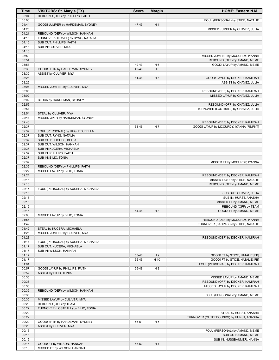| Time           | VISITORS: St. Mary's (TX)                                | <b>Score</b> | <b>Margin</b>  | <b>HOME: Eastern N.M.</b>                                              |
|----------------|----------------------------------------------------------|--------------|----------------|------------------------------------------------------------------------|
| 05:04          | REBOUND (DEF) by PHILLIPS, FAITH                         |              |                |                                                                        |
| 05:00          |                                                          |              |                | FOUL (PERSONAL) by STICE, NATALIE                                      |
| 04:44          | GOOD! JUMPER by HARDEMAN, SYDNEY                         | 47-43        | H4             |                                                                        |
| 04:25<br>04:21 | REBOUND (DEF) by WILSON, HANNAH                          |              |                | MISSED JUMPER by CHAVEZ, JULIA                                         |
| 04:15          | TURNOVER (TRAVEL) by RYNG, NATALIA                       |              |                |                                                                        |
| 04:15          | SUB OUT: PHILLIPS, FAITH                                 |              |                |                                                                        |
| 04:15          | SUB IN: CULIVER, MYA                                     |              |                |                                                                        |
| 04:15          |                                                          |              |                |                                                                        |
| 03:59          |                                                          |              |                | MISSED JUMPER by MCCURDY, IYANNA                                       |
| 03:54          |                                                          |              |                | REBOUND (OFF) by AMAND, MEME                                           |
| 03:53          |                                                          | 49-43        | H <sub>6</sub> | GOOD! LAYUP by AMAND, MEME                                             |
| 03:39<br>03:39 | GOOD! 3PTR by HARDEMAN, SYDNEY<br>ASSIST by CULIVER, MYA | 49-46        | $H_3$          |                                                                        |
| 03:26          |                                                          | 51-46        | H <sub>5</sub> | GOOD! LAYUP by DECKER, KAMIRAH                                         |
| 03:26          |                                                          |              |                | ASSIST by CHAVEZ, JULIA                                                |
| 03:07          | MISSED JUMPER by CULIVER, MYA                            |              |                |                                                                        |
| 03:05          |                                                          |              |                | REBOUND (DEF) by DECKER, KAMIRAH                                       |
| 03:02          |                                                          |              |                | MISSED LAYUP by CHAVEZ, JULIA                                          |
| 03:02          | BLOCK by HARDEMAN, SYDNEY                                |              |                |                                                                        |
| 02:56<br>02:54 |                                                          |              |                | REBOUND (OFF) by CHAVEZ, JULIA<br>TURNOVER (LOSTBALL) by CHAVEZ, JULIA |
| 02:54          | STEAL by CULIVER, MYA                                    |              |                |                                                                        |
| 02:43          | MISSED 3PTR by HARDEMAN, SYDNEY                          |              |                |                                                                        |
| 02:40          |                                                          |              |                | REBOUND (DEF) by DECKER, KAMIRAH                                       |
| 02:37          |                                                          | 53-46        | H 7            | GOOD! LAYUP by MCCURDY, IYANNA [FB/PNT]                                |
| 02:37          | FOUL (PERSONAL) by HUGHES, BELLA                         |              |                |                                                                        |
| 02:37          | SUB OUT: RYNG, NATALIA                                   |              |                |                                                                        |
| 02:37<br>02:37 | SUB OUT: HUGHES, BELLA<br>SUB OUT: WILSON, HANNAH        |              |                |                                                                        |
| 02:37          | SUB IN: KUCERA, MICHAELA                                 |              |                |                                                                        |
| 02:37          | SUB IN: PHILLIPS, FAITH                                  |              |                |                                                                        |
| 02:37          | SUB IN: BILIC, TONIA                                     |              |                |                                                                        |
| 02:37          |                                                          |              |                | MISSED FT by MCCURDY, IYANNA                                           |
| 02:36          | REBOUND (DEF) by PHILLIPS, FAITH                         |              |                |                                                                        |
| 02:27          | MISSED LAYUP by BILIC, TONIA                             |              |                |                                                                        |
| 02:24          |                                                          |              |                | REBOUND (DEF) by DECKER, KAMIRAH                                       |
| 02:15<br>02:15 |                                                          |              |                | MISSED LAYUP by STICE, NATALIE<br>REBOUND (OFF) by AMAND, MEME         |
| 02:15          | FOUL (PERSONAL) by KUCERA, MICHAELA                      |              |                |                                                                        |
| 02:15          |                                                          |              |                | SUB OUT: CHAVEZ, JULIA                                                 |
| 02:15          |                                                          |              |                | SUB IN: HURST, ANASHA                                                  |
| 02:15          |                                                          |              |                | MISSED FT by AMAND, MEME                                               |
| 02:15          |                                                          |              |                | REBOUND (OFF) by TEAM                                                  |
| 02:15          |                                                          | 54-46        | H 8            | GOOD! FT by AMAND, MEME                                                |
| 02:00<br>01:57 | MISSED LAYUP by BILIC, TONIA                             |              |                | REBOUND (DEF) by MCCURDY, IYANNA                                       |
| 01:42          |                                                          |              |                | TURNOVER (BADPASS) by STICE, NATALIE                                   |
| 01:42          | STEAL by KUCERA, MICHAELA                                |              |                |                                                                        |
| 01:25          | MISSED JUMPER by CULIVER, MYA                            |              |                |                                                                        |
| 01:23          |                                                          |              |                | REBOUND (DEF) by DECKER, KAMIRAH                                       |
| 01:17          | FOUL (PERSONAL) by KUCERA, MICHAELA                      |              |                |                                                                        |
| 01:17          | SUB OUT: KUCERA, MICHAELA                                |              |                |                                                                        |
| 01:17<br>01:17 | SUB IN: WILSON, HANNAH                                   | 55-46        | H9             | GOOD! FT by STICE, NATALIE [FB]                                        |
| 01:17          |                                                          | 56-46        | H 10           | GOOD! FT by STICE, NATALIE [FB]                                        |
| 01:01          |                                                          |              |                | FOUL (PERSONAL) by DECKER, KAMIRAH                                     |
| 00:57          | GOOD! LAYUP by PHILLIPS, FAITH                           | 56-48        | H <sub>8</sub> |                                                                        |
| 00:57          | ASSIST by BILIC, TONIA                                   |              |                |                                                                        |
| 00:35          |                                                          |              |                | MISSED LAYUP by AMAND, MEME                                            |
| 00:35          |                                                          |              |                | REBOUND (OFF) by DECKER, KAMIRAH                                       |
| 00:35          |                                                          |              |                | MISSED LAYUP by DECKER, KAMIRAH                                        |
| 00:35<br>00:35 | REBOUND (DEF) by WILSON, HANNAH                          |              |                | FOUL (PERSONAL) by AMAND, MEME                                         |
| 00:30          | MISSED LAYUP by CULIVER, MYA                             |              |                |                                                                        |
| 00:29          | REBOUND (OFF) by TEAM                                    |              |                |                                                                        |
| 00:22          | TURNOVER (LOSTBALL) by BILIC, TONIA                      |              |                |                                                                        |
| 00:22          |                                                          |              |                | STEAL by HURST, ANASHA                                                 |
| 00:22          |                                                          |              |                | TURNOVER (OUTOFBOUNDS) by HURST, ANASHA                                |
| 00:20          | GOOD! 3PTR by HARDEMAN, SYDNEY                           | 56-51        | H <sub>5</sub> |                                                                        |
| 00:20          | ASSIST by CULIVER, MYA                                   |              |                |                                                                        |
| 00:16          |                                                          |              |                | FOUL (PERSONAL) by AMAND, MEME                                         |
| 00:16<br>00:16 |                                                          |              |                | SUB OUT: AMAND, MEME<br>SUB IN: NUSSBAUMER, HANNA                      |
| 00:16          | GOOD! FT by WILSON, HANNAH                               | 56-52        | H4             |                                                                        |
| 00:16          | MISSED FT by WILSON, HANNAH                              |              |                |                                                                        |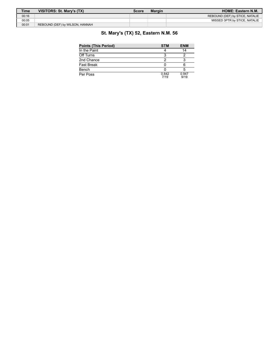| <b>Time</b> | VISITORS: St. Mary's (TX)       | Score | <b>Margin</b> | <b>HOME: Eastern N.M.</b>       |
|-------------|---------------------------------|-------|---------------|---------------------------------|
| 00:16       |                                 |       |               | REBOUND (DEF) by STICE, NATALIE |
| 00:05       |                                 |       |               | MISSED 3PTR by STICE, NATALIE   |
| 00:01       | REBOUND (DEF) by WILSON, HANNAH |       |               |                                 |

## **St. Mary's (TX) 52, Eastern N.M. 56**

| <b>Points (This Period)</b> | <b>STM</b>    | <b>ENM</b>    |
|-----------------------------|---------------|---------------|
| In the Paint                |               | 14            |
| Off Turns                   |               |               |
| 2nd Chance                  |               |               |
| Fast Break                  |               |               |
| Bench                       |               |               |
| Per Poss                    | 0.842<br>7/19 | 0.947<br>9/19 |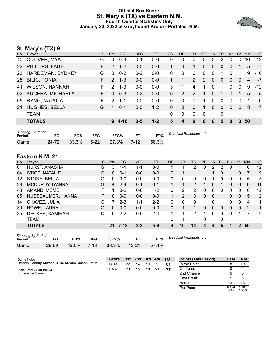#### **Official Box Score St. Mary's (TX) vs Eastern N.M. Fourth Quarter Statistics Only January 20, 2022 at Greyhound Arena - Portales, N.M.**



## **St. Mary's (TX) 9**

| No. | Player                  | S. | Pts           | FG.     | 3FG     | <b>FT</b> | <b>OR</b> | <b>DR</b> | <b>TR</b>     | <b>PF</b>   | A              | TO           | <b>Blk</b> | <b>Stl</b> | Min | $+/-$    |
|-----|-------------------------|----|---------------|---------|---------|-----------|-----------|-----------|---------------|-------------|----------------|--------------|------------|------------|-----|----------|
| 10  | <b>CULIVER, MYA</b>     | G  | $\Omega$      | $0 - 3$ | $0 - 1$ | 0-0       | 0         | 0         | 0             | 0           | 0              | 2            | 0          | 0          | 10  | $-12$    |
| 22  | PHILLIPS, FAITH         | F. | $\mathcal{P}$ | $1 - 2$ | $0-0$   | $0-0$     |           | $\Omega$  | 1             | 0           | $\overline{0}$ | 0            | 0          |            | 5   | $-7$     |
| 23  | HARDEMAN, SYDNEY        | G  | $\Omega$      | $0 - 2$ | $0 - 2$ | 0-0       | 0         | 0         | $\mathbf{0}$  | $\Omega$    | $\mathbf{0}$   |              | 0          |            | 9   | $-10$    |
| 25  | <b>BILIC, TONIA</b>     | F. | $\mathcal{P}$ | $1 - 3$ | $0 - 0$ | $0 - 0$   |           |           | 2             | 2           | $\mathbf{0}$   | $\mathbf{0}$ | $\Omega$   | $\Omega$   | 4   | $-7$     |
| 41  | <b>WILSON, HANNAH</b>   | F. | 2             | $1 - 3$ | $0-0$   | $0-0$     | 3         | 1         | 4             | 1           | 0              | 1            | $\Omega$   | $\Omega$   | 9   | $-12$    |
| 02  | <b>KUCERA, MICHAELA</b> | F. | $\Omega$      | $0 - 3$ | $0 - 2$ | $0 - 0$   | 0         | 2         | $\mathcal{P}$ |             | $\Omega$       | 1            | 0          |            | 5   | $-5$     |
| 05  | RYNG, NATALIA           | F. | 2             | $1 - 1$ | $0 - 0$ | $0 - 0$   | $\Omega$  | 0         | 0             | 1           | 0              | 0            | 0          | $\Omega$   | 1   | $\Omega$ |
| 21  | <b>HUGHES, BELLA</b>    | G  |               | $0 - 1$ | $0-0$   | $1 - 2$   | 0         | $\Omega$  | $\mathbf{0}$  | 1           | $\Omega$       | $\Omega$     | $\Omega$   | $\Omega$   | 8   | $-7$     |
|     | <b>TEAM</b>             |    |               |         |         |           | 0         | 0         | $\Omega$      | $\mathbf 0$ |                | 0            |            |            |     |          |
|     | <b>TOTALS</b>           |    | 9             | 4-18    | $0 - 5$ | $1 - 2$   | 5         | 4         | 9             | 6           | $\bf{0}$       | 5            | 0          | 3          | 50  |          |
|     |                         |    |               |         |         |           |           |           |               |             |                |              |            |            |     |          |

| <b>Shooting By Period</b><br>Period | FG    | FG%   | 3FG      | 3FG%  | FТ     | FT%   | Deadball Rebounds: 1,0 |
|-------------------------------------|-------|-------|----------|-------|--------|-------|------------------------|
| Game                                | 24 72 | 33.3% | $6 - 22$ | 27.3% | $7-12$ | 58.3% |                        |

## **Eastern N.M. 21**

| No.           | Player                                                        | S | Pts                 | <b>FG</b>         | 3FG     | <b>FT</b>       | <b>OR</b>    | <b>DR</b>              | TR             | PF | A            | TO       | <b>Blk</b> | <b>Stl</b>   | Min            | $+/-$ |
|---------------|---------------------------------------------------------------|---|---------------------|-------------------|---------|-----------------|--------------|------------------------|----------------|----|--------------|----------|------------|--------------|----------------|-------|
| 01            | HURST, ANASHA                                                 | G | 3                   | 1-1               | 1-1     | $0-0$           |              |                        | $\overline{2}$ | 0  | 2            | 2        |            |              | 8              | 12    |
| 04            | STICE, NATALIE                                                | G | 0                   | $0 - 1$           | $0 - 0$ | $0-0$           | 0            |                        | 1              |    |              | 0        |            | 0            |                | 9     |
| 12            | STONE, BELLA                                                  | G | 0                   | $0 - 0$           | $0 - 0$ | $0-0$           | 0            | 0                      | 0              | 0  |              | $\Omega$ | 0          | 0            | 5              | 5     |
| 23            | <b>MCCURDY, IYANNA</b>                                        | G | 4                   | $2 - 4$           | $0 - 1$ | $0 - 1$         |              |                        | $\overline{2}$ |    | 0            |          | 0          | 0            | 6              | 11    |
| 43            | AMAND, MEME                                                   | F |                     | $0 - 2$           | $0 - 0$ | $1 - 2$         | 0            | 2                      | 2              | 0  | 0            | 0        | 0          | 0            | 6              | 12    |
| 05            | NUSSBAUMER, HANNA                                             | F | 0                   | $0 - 0$           | $0 - 0$ | $0 - 0$         | $\mathbf{1}$ | $\overline{2}$         | 3              | 0  | $\mathbf{0}$ |          | 0          | 0            | 5              | 2     |
| 14            | CHAVEZ, JULIA                                                 | G |                     | $2 - 3$           | $1 - 1$ | $2 - 2$         | 0            | 0                      | 0              |    | 0            |          | 0          | 0            | 4              | 1     |
| 30            | ROWE, LAURA                                                   | G | 0                   | $0 - 0$           | $0 - 0$ | $0 - 0$         | 0            | 1                      | 1              | 0  | $\mathbf{0}$ | $\Omega$ | 0          | 0            | $\overline{2}$ | $-1$  |
| 35            | DECKER, KAMIRAH                                               | С | 6                   | $2 - 2$           | $0-0$   | $2 - 4$         | 1            | 1                      | 2              | 1  | 0            | $\Omega$ | 0          |              | 7              | 9     |
|               | <b>TEAM</b>                                                   |   |                     |                   |         |                 | 0            | 1                      | 1              | 0  |              | 0        |            |              |                |       |
|               | <b>TOTALS</b>                                                 |   |                     | $21 \quad 7 - 13$ | $2 - 3$ | $5-9$           | 4            | 10                     | 14             | 4  | 4            | 5        |            | $\mathbf{2}$ | 50             |       |
| <b>Doriod</b> | <b>Shooting By Period</b><br>EC- <sup>0</sup> /<br>EQ.<br>25C |   | $2ECD$ <sup>0</sup> |                   | EТ      | ET <sub>0</sub> |              | Deadball Rebounds: 5.0 |                |    |              |          |            |              |                |       |

| Period |       | FG%   | 3FG     | 3FG%  |           | FT%      |
|--------|-------|-------|---------|-------|-----------|----------|
| Game   | 29-69 | 42.0% | $-7-18$ | 38.9% | $12 - 21$ | $57.1\%$ |

Per Poss

Bench 3 13

 $\frac{0.474}{5/19}$ 

1.167 10/18

| Game Notes:                                          | <b>Score</b> | 1st l | 2nd | - 3rd | 4th | <b>TOT</b> | <b>Points (This Period)</b> | <b>STM</b> | <b>ENM</b> |
|------------------------------------------------------|--------------|-------|-----|-------|-----|------------|-----------------------------|------------|------------|
| Officials: Johnny Atwood, Alika Arisumi, Jason Smith | <b>STM</b>   | つつ    | 14  | 16    |     | -61        | In the Paint                |            | 10         |
| Start Time: 07:00 PM ET                              | <b>ENM</b>   | 23    | 15  | 18    | 21  | 77         | Off Turns                   |            |            |
| Conference Game:                                     |              |       |     |       |     |            | 2nd Chance                  |            |            |
|                                                      |              |       |     |       |     |            | <b>Fast Break</b>           |            |            |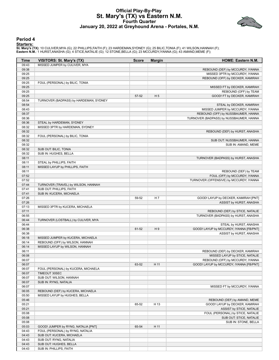#### **Official Play-By-Play St. Mary's (TX) vs Eastern N.M. Fourth Quarter January 20, 2022 at Greyhound Arena - Portales, N.M.**



#### **Period 4**

#### **Starters:**

**St. Mary's (TX)**: 10 CULIVER,MYA (G); 22 PHILLIPS,FAITH (F); 23 HARDEMAN,SYDNEY (G); 25 BILIC,TONIA (F); 41 WILSON,HANNAH (F);<br>**Eastern N.M.**: 1 HURST,ANASHA (G); 4 STICE,NATALIE (G); 12 STONE,BELLA (G); 23 MCCURDY,IYANNA

| <b>Time</b> | VISITORS: St. Mary's (TX)              | <b>Score</b> | <b>Margin</b>  | HOME: Eastern N.M.                      |
|-------------|----------------------------------------|--------------|----------------|-----------------------------------------|
| 09:43       | MISSED JUMPER by CULIVER, MYA          |              |                |                                         |
| 09:38       |                                        |              |                | REBOUND (DEF) by MCCURDY, IYANNA        |
| 09:25       |                                        |              |                | MISSED 3PTR by MCCURDY, IYANNA          |
| 09:25       |                                        |              |                | REBOUND (OFF) by DECKER, KAMIRAH        |
| 09:25       | FOUL (PERSONAL) by BILIC, TONIA        |              |                |                                         |
| 09:25       |                                        |              |                | MISSED FT by DECKER, KAMIRAH            |
| 09:25       |                                        |              |                | REBOUND (OFF) by TEAM                   |
| 09:25       |                                        | 57-52        | H <sub>5</sub> | GOOD! FT by DECKER, KAMIRAH             |
| 08:54       | TURNOVER (BADPASS) by HARDEMAN, SYDNEY |              |                |                                         |
| 08:54       |                                        |              |                | STEAL by DECKER, KAMIRAH                |
| 08:43       |                                        |              |                | MISSED JUMPER by MCCURDY, IYANNA        |
| 08:37       |                                        |              |                | REBOUND (OFF) by NUSSBAUMER, HANNA      |
| 08:36       |                                        |              |                | TURNOVER (BADPASS) by NUSSBAUMER, HANNA |
| 08:36       | STEAL by HARDEMAN, SYDNEY              |              |                |                                         |
| 08:32       | MISSED 3PTR by HARDEMAN, SYDNEY        |              |                |                                         |
| 08:32       |                                        |              |                | REBOUND (DEF) by HURST, ANASHA          |
| 08:32       | FOUL (PERSONAL) by BILIC, TONIA        |              |                |                                         |
| 08:32       |                                        |              |                | SUB OUT: NUSSBAUMER, HANNA              |
| 08:32       |                                        |              |                | SUB IN: AMAND, MEME                     |
| 08:32       | SUB OUT: BILIC, TONIA                  |              |                |                                         |
| 08:32       |                                        |              |                |                                         |
|             | SUB IN: HUGHES, BELLA                  |              |                |                                         |
| 08:11       |                                        |              |                | TURNOVER (BADPASS) by HURST, ANASHA     |
| 08:11       | STEAL by PHILLIPS, FAITH               |              |                |                                         |
| 08:11       | MISSED LAYUP by PHILLIPS, FAITH        |              |                |                                         |
| 08:11       |                                        |              |                | REBOUND (DEF) by TEAM                   |
| 07:52       |                                        |              |                | FOUL (OFF) by MCCURDY, IYANNA           |
| 07:52       |                                        |              |                | TURNOVER (OFFENSIVE) by MCCURDY, IYANNA |
| 07:44       | TURNOVER (TRAVEL) by WILSON, HANNAH    |              |                |                                         |
| 07:41       | SUB OUT: PHILLIPS, FAITH               |              |                |                                         |
| 07:41       | SUB IN: KUCERA, MICHAELA               |              |                |                                         |
| 07:26       |                                        | 59-52        | H 7            | GOOD! LAYUP by DECKER, KAMIRAH [PNT]    |
| 07:26       |                                        |              |                | ASSIST by HURST, ANASHA                 |
| 07:13       | MISSED 3PTR by KUCERA, MICHAELA        |              |                |                                         |
| 07:11       |                                        |              |                | REBOUND (DEF) by STICE, NATALIE         |
| 06:55       |                                        |              |                | TURNOVER (BADPASS) by HURST, ANASHA     |
| 06:44       | TURNOVER (LOSTBALL) by CULIVER, MYA    |              |                |                                         |
| 06:44       |                                        |              |                | STEAL by HURST, ANASHA                  |
| 06:38       |                                        | 61-52        | H9             | GOOD! LAYUP by MCCURDY, IYANNA [FB/PNT] |
| 06:38       |                                        |              |                | ASSIST by HURST, ANASHA                 |
| 06:18       | MISSED JUMPER by KUCERA, MICHAELA      |              |                |                                         |
| 06:14       | REBOUND (OFF) by WILSON, HANNAH        |              |                |                                         |
| 06:14       | MISSED LAYUP by WILSON, HANNAH         |              |                |                                         |
| 06:11       |                                        |              |                | REBOUND (DEF) by DECKER, KAMIRAH        |
| 06:08       |                                        |              |                | MISSED LAYUP by STICE, NATALIE          |
| 06:07       |                                        |              |                | REBOUND (OFF) by MCCURDY, IYANNA        |
| 06:07       |                                        | 63-52        | H 11           | GOOD! LAYUP by MCCURDY, IYANNA [FB/PNT] |
| 06:07       | FOUL (PERSONAL) by KUCERA, MICHAELA    |              |                |                                         |
| 06:07       | TIMEOUT 30SEC                          |              |                |                                         |
| 06:07       | SUB OUT: WILSON, HANNAH                |              |                |                                         |
| 06:07       | SUB IN: RYNG, NATALIA                  |              |                |                                         |
| 06:07       |                                        |              |                | MISSED FT by MCCURDY, IYANNA            |
| 06:05       | REBOUND (DEF) by KUCERA, MICHAELA      |              |                |                                         |
| 05:50       | MISSED LAYUP by HUGHES, BELLA          |              |                |                                         |
| 05:46       |                                        |              |                | REBOUND (DEF) by AMAND, MEME            |
| 05:21       |                                        | 65-52        | H 13           | GOOD! LAYUP by DECKER, KAMIRAH          |
| 05:21       |                                        |              |                | ASSIST by STICE, NATALIE                |
| 05:08       |                                        |              |                | FOUL (PERSONAL) by STICE, NATALIE       |
| 05:08       |                                        |              |                | SUB OUT: STICE, NATALIE                 |
| 05:08       |                                        |              |                | SUB IN: STONE, BELLA                    |
| 05:03       | GOOD! JUMPER by RYNG, NATALIA [PNT]    | 65-54        | H 11           |                                         |
| 04:43       | FOUL (PERSONAL) by RYNG, NATALIA       |              |                |                                         |
| 04:43       | SUB OUT: KUCERA, MICHAELA              |              |                |                                         |
| 04:43       | SUB OUT: RYNG, NATALIA                 |              |                |                                         |
| 04:43       | SUB OUT: HUGHES, BELLA                 |              |                |                                         |
| 04:43       | SUB IN: PHILLIPS, FAITH                |              |                |                                         |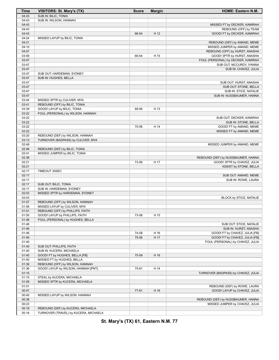| <b>Time</b>    | VISITORS: St. Mary's (TX)                                    | <b>Score</b> | <b>Margin</b> | HOME: Eastern N.M.                  |
|----------------|--------------------------------------------------------------|--------------|---------------|-------------------------------------|
| 04:43          | <b>SUB IN: BILIC, TONIA</b>                                  |              |               |                                     |
| 04:43          | SUB IN: WILSON, HANNAH                                       |              |               |                                     |
| 04:43          |                                                              |              |               | MISSED FT by DECKER, KAMIRAH        |
| 04:43          |                                                              |              |               | REBOUND (OFF) by TEAM               |
| 04:43          |                                                              | 66-54        | H 12          | GOOD! FT by DECKER, KAMIRAH         |
| 04:24          | MISSED LAYUP by BILIC, TONIA                                 |              |               |                                     |
| 04:21          |                                                              |              |               | REBOUND (DEF) by AMAND, MEME        |
| 04:10          |                                                              |              |               | MISSED JUMPER by AMAND, MEME        |
| 04:07          |                                                              |              |               | REBOUND (OFF) by HURST, ANASHA      |
| 03:59          |                                                              | 69-54        | H 15          | GOOD! 3PTR by HURST, ANASHA         |
| 03:47          |                                                              |              |               | FOUL (PERSONAL) by DECKER, KAMIRAH  |
| 03:47          |                                                              |              |               | SUB OUT: MCCURDY, IYANNA            |
| 03:47          |                                                              |              |               | SUB IN: CHAVEZ, JULIA               |
| 03:47          | SUB OUT: HARDEMAN, SYDNEY                                    |              |               |                                     |
| 03:47          | SUB IN: HUGHES, BELLA                                        |              |               |                                     |
| 03:47          |                                                              |              |               | SUB OUT: HURST, ANASHA              |
| 03:47          |                                                              |              |               | SUB OUT: STONE, BELLA               |
| 03:47          |                                                              |              |               | SUB IN: STICE, NATALIE              |
| 03:47          |                                                              |              |               | SUB IN: NUSSBAUMER, HANNA           |
| 03:44          | MISSED 3PTR by CULIVER, MYA                                  |              |               |                                     |
| 03:41<br>03:39 | REBOUND (OFF) by BILIC, TONIA<br>GOOD! LAYUP by BILIC, TONIA |              | H 13          |                                     |
| 03:22          |                                                              | 69-56        |               |                                     |
| 03:22          | FOUL (PERSONAL) by WILSON, HANNAH                            |              |               | SUB OUT: DECKER, KAMIRAH            |
| 03:22          |                                                              |              |               | SUB IN: STONE, BELLA                |
| 03:22          |                                                              | 70-56        | H 14          | GOOD! FT by AMAND, MEME             |
| 03:22          |                                                              |              |               | MISSED FT by AMAND, MEME            |
| 03:20          | REBOUND (DEF) by WILSON, HANNAH                              |              |               |                                     |
| 03:13          | TURNOVER (BADPASS) by CULIVER, MYA                           |              |               |                                     |
| 02:49          |                                                              |              |               | MISSED JUMPER by AMAND, MEME        |
| 02:46          | REBOUND (DEF) by BILIC, TONIA                                |              |               |                                     |
| 02:41          | MISSED JUMPER by BILIC, TONIA                                |              |               |                                     |
| 02:38          |                                                              |              |               | REBOUND (DEF) by NUSSBAUMER, HANNA  |
| 02:21          |                                                              | 73-56        | H 17          | GOOD! 3PTR by CHAVEZ, JULIA         |
| 02:21          |                                                              |              |               | ASSIST by STONE, BELLA              |
| 02:17          | TIMEOUT 30SEC                                                |              |               |                                     |
| 02:17          |                                                              |              |               | SUB OUT: AMAND, MEME                |
| 02:17          |                                                              |              |               | SUB IN: ROWE, LAURA                 |
| 02:17          | SUB OUT: BILIC, TONIA                                        |              |               |                                     |
| 02:17          | SUB IN: HARDEMAN, SYDNEY                                     |              |               |                                     |
| 02:03          | MISSED 3PTR by HARDEMAN, SYDNEY                              |              |               |                                     |
| 02:03          |                                                              |              |               | BLOCK by STICE, NATALIE             |
| 01:57          | REBOUND (OFF) by WILSON, HANNAH                              |              |               |                                     |
| 01:56          | MISSED LAYUP by CULIVER, MYA                                 |              |               |                                     |
| 01:51          | REBOUND (OFF) by PHILLIPS, FAITH                             |              |               |                                     |
| 01:50          | GOOD! LAYUP by PHILLIPS, FAITH                               | 73-58        | H 15          |                                     |
| 01:46          | FOUL (PERSONAL) by HUGHES, BELLA                             |              |               |                                     |
| 01:46          |                                                              |              |               | SUB OUT: STICE, NATALIE             |
| 01:46          |                                                              |              |               | SUB IN: HURST, ANASHA               |
| 01:46          |                                                              | 74-58        | H 16          | GOOD! FT by CHAVEZ, JULIA [FB]      |
| 01:46          |                                                              | 75-58        | H 17          | GOOD! FT by CHAVEZ, JULIA [FB]      |
| 01:40          |                                                              |              |               | FOUL (PERSONAL) by CHAVEZ, JULIA    |
| 01:40          | SUB OUT: PHILLIPS, FAITH                                     |              |               |                                     |
| 01:40          | SUB IN: KUCERA, MICHAELA                                     |              |               |                                     |
| 01:40          | GOOD! FT by HUGHES, BELLA [FB]                               | 75-59        | H 16          |                                     |
| 01:40          | MISSED FT by HUGHES, BELLA                                   |              |               |                                     |
| 01:39          | REBOUND (OFF) by WILSON, HANNAH                              |              |               |                                     |
| 01:36          | GOOD! LAYUP by WILSON, HANNAH [PNT]                          | 75-61        | H 14          |                                     |
| 01:15          |                                                              |              |               | TURNOVER (BADPASS) by CHAVEZ, JULIA |
| 01:15          | STEAL by KUCERA, MICHAELA                                    |              |               |                                     |
| 01:09          | MISSED 3PTR by KUCERA, MICHAELA                              |              |               |                                     |
| 01:01          |                                                              |              |               | REBOUND (DEF) by ROWE, LAURA        |
| 00:47          |                                                              | 77-61        | H 16          | GOOD! LAYUP by CHAVEZ, JULIA        |
| 00:40          | MISSED LAYUP by WILSON, HANNAH                               |              |               |                                     |
| 00:38          |                                                              |              |               | REBOUND (DEF) by NUSSBAUMER, HANNA  |
| 00:23          |                                                              |              |               | MISSED JUMPER by CHAVEZ, JULIA      |
| 00:18          | REBOUND (DEF) by KUCERA, MICHAELA                            |              |               |                                     |
| 00:18          | TURNOVER (TRAVEL) by KUCERA, MICHAELA                        |              |               |                                     |

**St. Mary's (TX) 61, Eastern N.M. 77**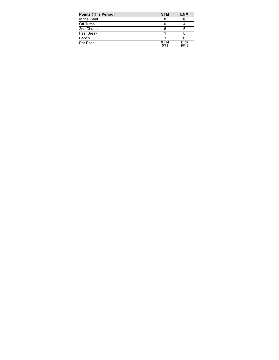| <b>Points (This Period)</b> | <b>STM</b>    | <b>ENM</b>     |
|-----------------------------|---------------|----------------|
| In the Paint                |               | 10             |
| Off Turns                   |               |                |
| 2nd Chance                  | 6             | 6              |
| <b>Fast Break</b>           |               | 6              |
| Bench                       |               | 13             |
| Per Poss                    | 0.474<br>5/19 | 1.167<br>10/18 |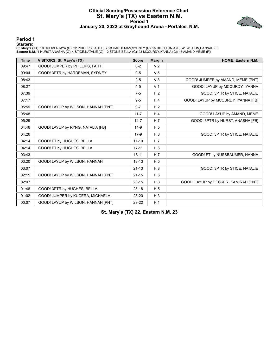#### **Official Scoring/Possession Reference Chart St. Mary's (TX) vs Eastern N.M. Period 1 January 20, 2022 at Greyhound Arena - Portales, N.M.**



**Period 1**

#### **Starters:**

**St. Mary's (TX)**: 10 CULIVER,MYA (G); 22 PHILLIPS,FAITH (F); 23 HARDEMAN,SYDNEY (G); 25 BILIC,TONIA (F); 41 WILSON,HANNAH (F);<br>**Eastern N.M.**: 1 HURST,ANASHA (G); 4 STICE,NATALIE (G); 12 STONE,BELLA (G); 23 MCCURDY,IYANNA

| <b>Time</b> | VISITORS: St. Mary's (TX)           | <b>Score</b> | <b>Margin</b>  | <b>HOME: Eastern N.M.</b>            |
|-------------|-------------------------------------|--------------|----------------|--------------------------------------|
| 09:47       | GOOD! JUMPER by PHILLIPS, FAITH     | $0 - 2$      | V <sub>2</sub> |                                      |
| 09:04       | GOOD! 3PTR by HARDEMAN, SYDNEY      | $0-5$        | V <sub>5</sub> |                                      |
| 08:43       |                                     | $2 - 5$      | V <sub>3</sub> | GOOD! JUMPER by AMAND, MEME [PNT]    |
| 08:27       |                                     | $4 - 5$      | V <sub>1</sub> | GOOD! LAYUP by MCCURDY, IYANNA       |
| 07:39       |                                     | $7-5$        | H <sub>2</sub> | GOOD! 3PTR by STICE, NATALIE         |
| 07:17       |                                     | $9 - 5$      | H <sub>4</sub> | GOOD! LAYUP by MCCURDY, IYANNA [FB]  |
| 05:59       | GOOD! LAYUP by WILSON, HANNAH [PNT] | $9 - 7$      | H <sub>2</sub> |                                      |
| 05:48       |                                     | $11 - 7$     | H <sub>4</sub> | GOOD! LAYUP by AMAND, MEME           |
| 05:29       |                                     | $14 - 7$     | H 7            | GOOD! 3PTR by HURST, ANASHA [FB]     |
| 04:46       | GOOD! LAYUP by RYNG, NATALIA [FB]   | $14-9$       | H <sub>5</sub> |                                      |
| 04:26       |                                     | $17-9$       | H 8            | GOOD! 3PTR by STICE, NATALIE         |
| 04:14       | GOOD! FT by HUGHES, BELLA           | $17 - 10$    | H <sub>7</sub> |                                      |
| 04:14       | GOOD! FT by HUGHES, BELLA           | $17 - 11$    | H <sub>6</sub> |                                      |
| 03:43       |                                     | $18 - 11$    | H <sub>7</sub> | GOOD! FT by NUSSBAUMER, HANNA        |
| 03:20       | GOOD! LAYUP by WILSON, HANNAH       | 18-13        | H <sub>5</sub> |                                      |
| 03:07       |                                     | $21 - 13$    | H 8            | GOOD! 3PTR by STICE, NATALIE         |
| 02:15       | GOOD! LAYUP by WILSON, HANNAH [PNT] | $21 - 15$    | H <sub>6</sub> |                                      |
| 02:07       |                                     | $23 - 15$    | H 8            | GOOD! LAYUP by DECKER, KAMIRAH [PNT] |
| 01:46       | GOOD! 3PTR by HUGHES, BELLA         | $23 - 18$    | H <sub>5</sub> |                                      |
| 01:02       | GOOD! JUMPER by KUCERA, MICHAELA    | 23-20        | $H_3$          |                                      |
| 00:07       | GOOD! LAYUP by WILSON, HANNAH [PNT] | 23-22        | H <sub>1</sub> |                                      |

**St. Mary's (TX) 22, Eastern N.M. 23**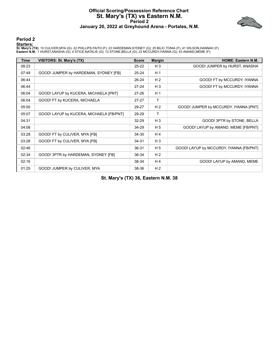#### **Official Scoring/Possession Reference Chart St. Mary's (TX) vs Eastern N.M. Period 2 January 20, 2022 at Greyhound Arena - Portales, N.M.**



#### **Period 2**

#### **Starters:**

**St. Mary's (TX)**: 10 CULIVER,MYA (G); 22 PHILLIPS,FAITH (F); 23 HARDEMAN,SYDNEY (G); 25 BILIC,TONIA (F); 41 WILSON,HANNAH (F);<br>**Eastern N.M.**: 1 HURST,ANASHA (G); 4 STICE,NATALIE (G); 12 STONE,BELLA (G); 23 MCCURDY,IYANNA

| <b>Time</b> | <b>VISITORS: St. Mary's (TX)</b>         | <b>Score</b> | <b>Margin</b>  | <b>HOME: Eastern N.M.</b>               |
|-------------|------------------------------------------|--------------|----------------|-----------------------------------------|
| 08:23       |                                          | $25 - 22$    | $H_3$          | GOOD! JUMPER by HURST, ANASHA           |
| 07:49       | GOOD! JUMPER by HARDEMAN, SYDNEY [FB]    | $25 - 24$    | H <sub>1</sub> |                                         |
| 06:44       |                                          | $26 - 24$    | H <sub>2</sub> | GOOD! FT by MCCURDY, IYANNA             |
| 06:44       |                                          | $27 - 24$    | $H_3$          | GOOD! FT by MCCURDY, IYANNA             |
| 06:04       | GOOD! LAYUP by KUCERA, MICHAELA [PNT]    | $27 - 26$    | H <sub>1</sub> |                                         |
| 06:04       | GOOD! FT by KUCERA, MICHAELA             | $27 - 27$    | T.             |                                         |
| 05:50       |                                          | 29-27        | H <sub>2</sub> | GOOD! JUMPER by MCCURDY, IYANNA [PNT]   |
| 05:07       | GOOD! LAYUP by KUCERA, MICHAELA [FB/PNT] | 29-29        | т              |                                         |
| 04:31       |                                          | $32 - 29$    | $H_3$          | GOOD! 3PTR by STONE, BELLA              |
| 04:08       |                                          | 34-29        | H <sub>5</sub> | GOOD! LAYUP by AMAND, MEME [FB/PNT]     |
| 03:28       | GOOD! FT by CULIVER, MYA [FB]            | 34-30        | H <sub>4</sub> |                                         |
| 03:28       | GOOD! FT by CULIVER, MYA [FB]            | $34 - 31$    | $H_3$          |                                         |
| 02:46       |                                          | 36-31        | H <sub>5</sub> | GOOD! LAYUP by MCCURDY, IYANNA [FB/PNT] |
| 02:34       | GOOD! 3PTR by HARDEMAN, SYDNEY [FB]      | 36-34        | H <sub>2</sub> |                                         |
| 02:16       |                                          | 38-34        | H <sub>4</sub> | GOOD! LAYUP by AMAND, MEME              |
| 01:25       | GOOD! JUMPER by CULIVER, MYA             | 38-36        | H <sub>2</sub> |                                         |

**St. Mary's (TX) 36, Eastern N.M. 38**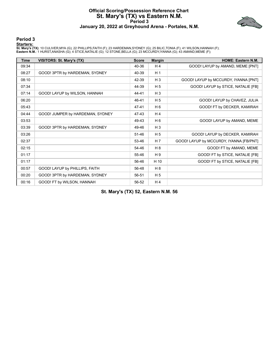#### **Official Scoring/Possession Reference Chart St. Mary's (TX) vs Eastern N.M. Period 3 January 20, 2022 at Greyhound Arena - Portales, N.M.**



#### **Period 3**

#### **Starters:**

**St. Mary's (TX)**: 10 CULIVER,MYA (G); 22 PHILLIPS,FAITH (F); 23 HARDEMAN,SYDNEY (G); 25 BILIC,TONIA (F); 41 WILSON,HANNAH (F);<br>**Eastern N.M.**: 1 HURST,ANASHA (G); 4 STICE,NATALIE (G); 12 STONE,BELLA (G); 23 MCCURDY,IYANNA

| <b>Time</b> | VISITORS: St. Mary's (TX)        | <b>Score</b> | <b>Margin</b>  | <b>HOME: Eastern N.M.</b>               |
|-------------|----------------------------------|--------------|----------------|-----------------------------------------|
| 09:34       |                                  | 40-36        | H4             | GOOD! LAYUP by AMAND, MEME [PNT]        |
| 08:27       | GOOD! 3PTR by HARDEMAN, SYDNEY   | 40-39        | H <sub>1</sub> |                                         |
| 08:10       |                                  | 42-39        | $H_3$          | GOOD! LAYUP by MCCURDY, IYANNA [PNT]    |
| 07:34       |                                  | 44-39        | H <sub>5</sub> | GOOD! LAYUP by STICE, NATALIE [FB]      |
| 07:14       | GOOD! LAYUP by WILSON, HANNAH    | 44-41        | $H_3$          |                                         |
| 06:20       |                                  | 46-41        | H <sub>5</sub> | GOOD! LAYUP by CHAVEZ, JULIA            |
| 05:43       |                                  | 47-41        | H <sub>6</sub> | GOOD! FT by DECKER, KAMIRAH             |
| 04:44       | GOOD! JUMPER by HARDEMAN, SYDNEY | 47-43        | H <sub>4</sub> |                                         |
| 03:53       |                                  | 49-43        | H <sub>6</sub> | GOOD! LAYUP by AMAND, MEME              |
| 03:39       | GOOD! 3PTR by HARDEMAN, SYDNEY   | 49-46        | $H_3$          |                                         |
| 03:26       |                                  | 51-46        | H <sub>5</sub> | GOOD! LAYUP by DECKER, KAMIRAH          |
| 02:37       |                                  | 53-46        | H <sub>7</sub> | GOOD! LAYUP by MCCURDY, IYANNA [FB/PNT] |
| 02:15       |                                  | 54-46        | H8             | GOOD! FT by AMAND, MEME                 |
| 01:17       |                                  | 55-46        | H 9            | GOOD! FT by STICE, NATALIE [FB]         |
| 01:17       |                                  | 56-46        | H 10           | GOOD! FT by STICE, NATALIE [FB]         |
| 00:57       | GOOD! LAYUP by PHILLIPS, FAITH   | 56-48        | H 8            |                                         |
| 00:20       | GOOD! 3PTR by HARDEMAN, SYDNEY   | 56-51        | H <sub>5</sub> |                                         |
| 00:16       | GOOD! FT by WILSON, HANNAH       | 56-52        | H4             |                                         |

**St. Mary's (TX) 52, Eastern N.M. 56**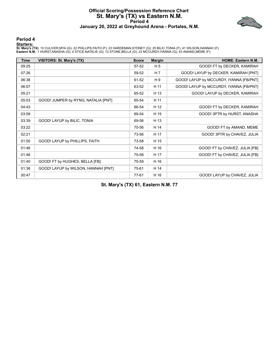#### **Official Scoring/Possession Reference Chart St. Mary's (TX) vs Eastern N.M. Period 4 January 20, 2022 at Greyhound Arena - Portales, N.M.**



#### **Period 4**

#### **Starters:**

**St. Mary's (TX)**: 10 CULIVER,MYA (G); 22 PHILLIPS,FAITH (F); 23 HARDEMAN,SYDNEY (G); 25 BILIC,TONIA (F); 41 WILSON,HANNAH (F);<br>**Eastern N.M.**: 1 HURST,ANASHA (G); 4 STICE,NATALIE (G); 12 STONE,BELLA (G); 23 MCCURDY,IYANNA

| Time  | VISITORS: St. Mary's (TX)           | <b>Score</b> | <b>Margin</b>  | <b>HOME: Eastern N.M.</b>               |
|-------|-------------------------------------|--------------|----------------|-----------------------------------------|
| 09:25 |                                     | 57-52        | H <sub>5</sub> | GOOD! FT by DECKER, KAMIRAH             |
| 07:26 |                                     | 59-52        | H <sub>7</sub> | GOOD! LAYUP by DECKER, KAMIRAH [PNT]    |
| 06:38 |                                     | 61-52        | H 9            | GOOD! LAYUP by MCCURDY, IYANNA [FB/PNT] |
| 06:07 |                                     | 63-52        | H 11           | GOOD! LAYUP by MCCURDY, IYANNA [FB/PNT] |
| 05:21 |                                     | 65-52        | H 13           | GOOD! LAYUP by DECKER, KAMIRAH          |
| 05:03 | GOOD! JUMPER by RYNG, NATALIA [PNT] | 65-54        | H 11           |                                         |
| 04:43 |                                     | 66-54        | H 12           | GOOD! FT by DECKER, KAMIRAH             |
| 03:59 |                                     | 69-54        | H 15           | GOOD! 3PTR by HURST, ANASHA             |
| 03:39 | GOOD! LAYUP by BILIC, TONIA         | 69-56        | H 13           |                                         |
| 03:22 |                                     | 70-56        | H 14           | GOOD! FT by AMAND, MEME                 |
| 02:21 |                                     | 73-56        | H 17           | GOOD! 3PTR by CHAVEZ, JULIA             |
| 01:50 | GOOD! LAYUP by PHILLIPS, FAITH      | 73-58        | H 15           |                                         |
| 01:46 |                                     | 74-58        | H 16           | GOOD! FT by CHAVEZ, JULIA [FB]          |
| 01:46 |                                     | 75-58        | H 17           | GOOD! FT by CHAVEZ, JULIA [FB]          |
| 01:40 | GOOD! FT by HUGHES, BELLA [FB]      | 75-59        | H 16           |                                         |
| 01:36 | GOOD! LAYUP by WILSON, HANNAH [PNT] | 75-61        | H 14           |                                         |
| 00:47 |                                     | 77-61        | H 16           | GOOD! LAYUP by CHAVEZ, JULIA            |

**St. Mary's (TX) 61, Eastern N.M. 77**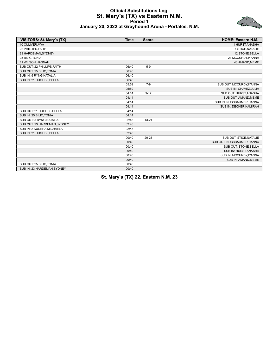#### **Official Substitutions Log St. Mary's (TX) vs Eastern N.M. Period 1 January 20, 2022 at Greyhound Arena - Portales, N.M.**



| VISITORS: St. Mary's (TX)    | <b>Time</b> | <b>Score</b> | <b>HOME: Eastern N.M.</b>  |
|------------------------------|-------------|--------------|----------------------------|
| 10 CULIVER, MYA              |             |              | 1 HURST, ANASHA            |
| 22 PHILLIPS, FAITH           |             |              | 4 STICE, NATALIE           |
| 23 HARDEMAN, SYDNEY          |             |              | 12 STONE, BELLA            |
| 25 BILIC, TONIA              |             |              | 23 MCCURDY, IYANNA         |
| 41 WILSON, HANNAH            |             |              | 43 AMAND, MEME             |
| SUB OUT: 22 PHILLIPS, FAITH  | 06:40       | $5-9$        |                            |
| SUB OUT: 25 BILIC, TONIA     | 06:40       |              |                            |
| SUB IN: 5 RYNG, NATALIA      | 06:40       |              |                            |
| SUB IN: 21 HUGHES, BELLA     | 06:40       |              |                            |
|                              | 05:59       | $7-9$        | SUB OUT: MCCURDY, IYANNA   |
|                              | 05:59       |              | SUB IN: CHAVEZ, JULIA      |
|                              | 04:14       | $9 - 17$     | SUB OUT: HURST, ANASHA     |
|                              | 04:14       |              | SUB OUT: AMAND, MEME       |
|                              | 04:14       |              | SUB IN: NUSSBAUMER, HANNA  |
|                              | 04:14       |              | SUB IN: DECKER, KAMIRAH    |
| SUB OUT: 21 HUGHES, BELLA    | 04:14       |              |                            |
| SUB IN: 25 BILIC, TONIA      | 04:14       |              |                            |
| SUB OUT: 5 RYNG, NATALIA     | 02:48       | $13 - 21$    |                            |
| SUB OUT: 23 HARDEMAN, SYDNEY | 02:48       |              |                            |
| SUB IN: 2 KUCERA, MICHAELA   | 02:48       |              |                            |
| SUB IN: 21 HUGHES, BELLA     | 02:48       |              |                            |
|                              | 00:40       | 20-23        | SUB OUT: STICE, NATALIE    |
|                              | 00:40       |              | SUB OUT: NUSSBAUMER, HANNA |
|                              | 00:40       |              | SUB OUT: STONE, BELLA      |
|                              | 00:40       |              | SUB IN: HURST, ANASHA      |
|                              | 00:40       |              | SUB IN: MCCURDY, IYANNA    |
|                              | 00:40       |              | SUB IN: AMAND, MEME        |
| SUB OUT: 25 BILIC, TONIA     | 00:40       |              |                            |
| SUB IN: 23 HARDEMAN.SYDNEY   | 00:40       |              |                            |

**St. Mary's (TX) 22, Eastern N.M. 23**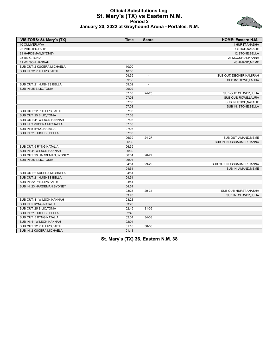#### **Official Substitutions Log St. Mary's (TX) vs Eastern N.M. Period 2 January 20, 2022 at Greyhound Arena - Portales, N.M.**



| <b>VISITORS: St. Mary's (TX)</b> | <b>Time</b> | <b>Score</b>             | HOME: Eastern N.M.         |
|----------------------------------|-------------|--------------------------|----------------------------|
| 10 CULIVER.MYA                   |             |                          | 1 HURST.ANASHA             |
| 22 PHILLIPS, FAITH               |             |                          | 4 STICE, NATALIE           |
| 23 HARDEMAN, SYDNEY              |             |                          | 12 STONE, BELLA            |
| 25 BILIC, TONIA                  |             |                          | 23 MCCURDY, IYANNA         |
| 41 WILSON, HANNAH                |             |                          | 43 AMAND, MEME             |
| SUB OUT: 2 KUCERA, MICHAELA      | 10:00       | $\overline{\phantom{a}}$ |                            |
| SUB IN: 22 PHILLIPS, FAITH       | 10:00       |                          |                            |
|                                  | 09:35       | $\overline{a}$           | SUB OUT: DECKER, KAMIRAH   |
|                                  | 09:35       |                          | SUB IN: ROWE, LAURA        |
| SUB OUT: 21 HUGHES, BELLA        | 09:02       | $\overline{a}$           |                            |
| SUB IN: 25 BILIC, TONIA          | 09:02       |                          |                            |
|                                  | 07:03       | 24-25                    | SUB OUT: CHAVEZ, JULIA     |
|                                  | 07:03       |                          | SUB OUT: ROWE, LAURA       |
|                                  | 07:03       |                          | SUB IN: STICE, NATALIE     |
|                                  | 07:03       |                          | SUB IN: STONE, BELLA       |
| SUB OUT: 22 PHILLIPS, FAITH      | 07:03       |                          |                            |
| SUB OUT: 25 BILIC, TONIA         | 07:03       |                          |                            |
| SUB OUT: 41 WILSON, HANNAH       | 07:03       |                          |                            |
| SUB IN: 2 KUCERA, MICHAELA       | 07:03       |                          |                            |
| SUB IN: 5 RYNG, NATALIA          | 07:03       |                          |                            |
| SUB IN: 21 HUGHES, BELLA         | 07:03       |                          |                            |
|                                  | 06:39       | 24-27                    | SUB OUT: AMAND, MEME       |
|                                  | 06:39       |                          | SUB IN: NUSSBAUMER, HANNA  |
| SUB OUT: 5 RYNG, NATALIA         | 06:39       |                          |                            |
| SUB IN: 41 WILSON, HANNAH        | 06:39       |                          |                            |
| SUB OUT: 23 HARDEMAN, SYDNEY     | 06:04       | 26-27                    |                            |
| SUB IN: 25 BILIC, TONIA          | 06:04       |                          |                            |
|                                  | 04:51       | 29-29                    | SUB OUT: NUSSBAUMER, HANNA |
|                                  | 04:51       |                          | SUB IN: AMAND, MEME        |
| SUB OUT: 2 KUCERA, MICHAELA      | 04:51       |                          |                            |
| SUB OUT: 21 HUGHES, BELLA        | 04:51       |                          |                            |
| SUB IN: 22 PHILLIPS FAITH        | 04:51       |                          |                            |
| SUB IN: 23 HARDEMAN, SYDNEY      | 04:51       |                          |                            |
|                                  | 03:28       | 29-34                    | SUB OUT: HURST, ANASHA     |
|                                  | 03:28       |                          | SUB IN: CHAVEZ, JULIA      |
| SUB OUT: 41 WILSON, HANNAH       | 03:28       |                          |                            |
| SUB IN: 5 RYNG, NATALIA          | 03:28       |                          |                            |
| SUB OUT: 25 BILIC, TONIA         | 02:45       | $31 - 36$                |                            |
| SUB IN: 21 HUGHES, BELLA         | 02:45       |                          |                            |
| SUB OUT: 5 RYNG, NATALIA         | 02:04       | 34-38                    |                            |
| SUB IN: 41 WILSON, HANNAH        | 02:04       |                          |                            |
| SUB OUT: 22 PHILLIPS, FAITH      | 01:18       | 36-38                    |                            |
| SUB IN: 2 KUCERA, MICHAELA       | 01:18       |                          |                            |

**St. Mary's (TX) 36, Eastern N.M. 38**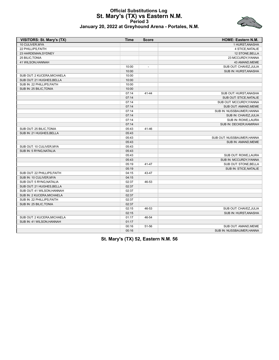#### **Official Substitutions Log St. Mary's (TX) vs Eastern N.M. Period 3 January 20, 2022 at Greyhound Arena - Portales, N.M.**



| <b>VISITORS: St. Mary's (TX)</b> | <b>Time</b> | <b>Score</b>             | <b>HOME: Eastern N.M.</b>  |
|----------------------------------|-------------|--------------------------|----------------------------|
| 10 CULIVER.MYA                   |             |                          | 1 HURST.ANASHA             |
| 22 PHILLIPS.FAITH                |             |                          | <b>4 STICE NATALIE</b>     |
| 23 HARDEMAN, SYDNEY              |             |                          | 12 STONE, BELLA            |
| 25 BILIC, TONIA                  |             |                          | 23 MCCURDY, IYANNA         |
| 41 WILSON, HANNAH                |             |                          | 43 AMAND, MEME             |
|                                  | 10:00       | $\overline{\phantom{a}}$ | SUB OUT: CHAVEZ, JULIA     |
|                                  | 10:00       |                          | SUB IN: HURST, ANASHA      |
| SUB OUT: 2 KUCERA, MICHAELA      | 10:00       |                          |                            |
| SUB OUT: 21 HUGHES.BELLA         | 10:00       |                          |                            |
| SUB IN: 22 PHILLIPS FAITH        | 10:00       |                          |                            |
| SUB IN: 25 BILIC, TONIA          | 10:00       |                          |                            |
|                                  | 07:14       | $41 - 44$                | SUB OUT: HURST, ANASHA     |
|                                  | 07:14       |                          | SUB OUT: STICE, NATALIE    |
|                                  | 07:14       |                          | SUB OUT: MCCURDY, IYANNA   |
|                                  | 07:14       |                          | SUB OUT: AMAND, MEME       |
|                                  | 07:14       |                          | SUB IN: NUSSBAUMER, HANNA  |
|                                  | 07:14       |                          | SUB IN: CHAVEZ, JULIA      |
|                                  | 07:14       |                          | SUB IN: ROWE, LAURA        |
|                                  | 07:14       |                          | SUB IN: DECKER, KAMIRAH    |
| SUB OUT: 25 BILIC, TONIA         | 05:43       | $41 - 46$                |                            |
| SUB IN: 21 HUGHES.BELLA          | 05:43       |                          |                            |
|                                  | 05:43       |                          | SUB OUT: NUSSBAUMER, HANNA |
|                                  | 05:43       |                          | SUB IN: AMAND, MEME        |
| SUB OUT: 10 CULIVER, MYA         | 05:43       |                          |                            |
| SUB IN: 5 RYNG, NATALIA          | 05:43       |                          |                            |
|                                  | 05:43       |                          | SUB OUT: ROWE, LAURA       |
|                                  | 05:43       |                          | SUB IN: MCCURDY, IYANNA    |
|                                  | 05:19       | $41 - 47$                | SUB OUT: STONE, BELLA      |
|                                  | 05:19       |                          | SUB IN: STICE, NATALIE     |
| SUB OUT: 22 PHILLIPS, FAITH      | 04:15       | 43-47                    |                            |
| SUB IN: 10 CULIVER, MYA          | 04:15       |                          |                            |
| SUB OUT: 5 RYNG, NATALIA         | 02:37       | 46-53                    |                            |
| SUB OUT: 21 HUGHES, BELLA        | 02:37       |                          |                            |
| SUB OUT: 41 WILSON, HANNAH       | 02:37       |                          |                            |
| SUB IN: 2 KUCERA, MICHAELA       | 02:37       |                          |                            |
| SUB IN: 22 PHILLIPS, FAITH       | 02:37       |                          |                            |
| SUB IN: 25 BILIC, TONIA          | 02:37       |                          |                            |
|                                  | 02:15       | 46-53                    | SUB OUT: CHAVEZ, JULIA     |
|                                  | 02:15       |                          | SUB IN: HURST, ANASHA      |
| SUB OUT: 2 KUCERA, MICHAELA      | 01:17       | 46-54                    |                            |
| SUB IN: 41 WILSON, HANNAH        | 01:17       |                          |                            |
|                                  | 00:16       | 51-56                    | SUB OUT: AMAND, MEME       |
|                                  | 00:16       |                          | SUB IN: NUSSBAUMER, HANNA  |

**St. Mary's (TX) 52, Eastern N.M. 56**